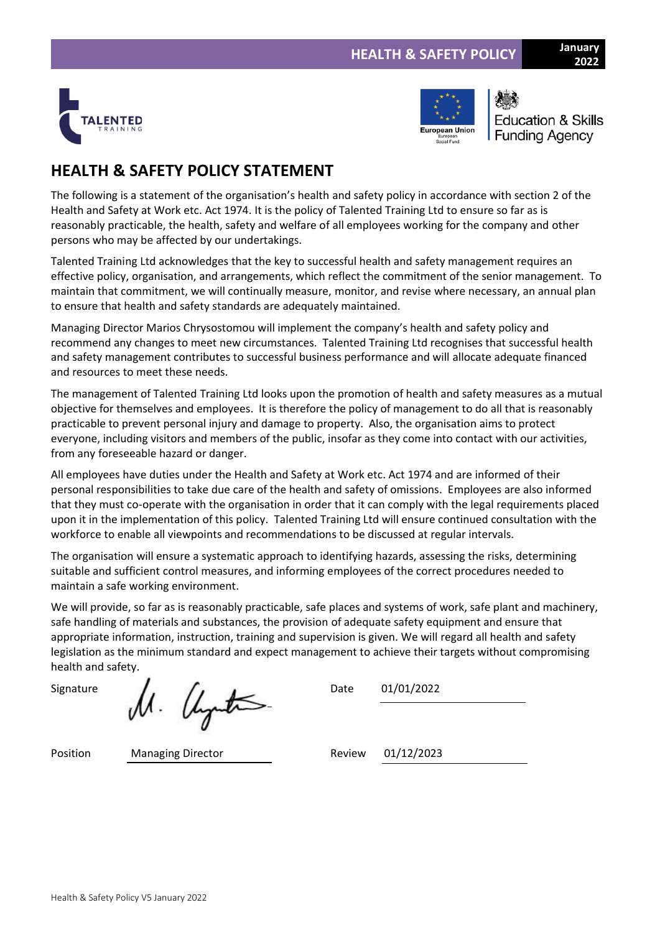



**Education & Skills Funding Agency** 

# **HEALTH & SAFETY POLICY STATEMENT**

The following is a statement of the organisation's health and safety policy in accordance with section 2 of the Health and Safety at Work etc. Act 1974. It is the policy of Talented Training Ltd to ensure so far as is reasonably practicable, the health, safety and welfare of all employees working for the company and other persons who may be affected by our undertakings.

Talented Training Ltd acknowledges that the key to successful health and safety management requires an effective policy, organisation, and arrangements, which reflect the commitment of the senior management. To maintain that commitment, we will continually measure, monitor, and revise where necessary, an annual plan to ensure that health and safety standards are adequately maintained.

Managing Director Marios Chrysostomou will implement the company's health and safety policy and recommend any changes to meet new circumstances. Talented Training Ltd recognises that successful health and safety management contributes to successful business performance and will allocate adequate financed and resources to meet these needs.

The management of Talented Training Ltd looks upon the promotion of health and safety measures as a mutual objective for themselves and employees. It is therefore the policy of management to do all that is reasonably practicable to prevent personal injury and damage to property. Also, the organisation aims to protect everyone, including visitors and members of the public, insofar as they come into contact with our activities, from any foreseeable hazard or danger.

All employees have duties under the Health and Safety at Work etc. Act 1974 and are informed of their personal responsibilities to take due care of the health and safety of omissions. Employees are also informed that they must co-operate with the organisation in order that it can comply with the legal requirements placed upon it in the implementation of this policy. Talented Training Ltd will ensure continued consultation with the workforce to enable all viewpoints and recommendations to be discussed at regular intervals.

The organisation will ensure a systematic approach to identifying hazards, assessing the risks, determining suitable and sufficient control measures, and informing employees of the correct procedures needed to maintain a safe working environment.

We will provide, so far as is reasonably practicable, safe places and systems of work, safe plant and machinery, safe handling of materials and substances, the provision of adequate safety equipment and ensure that appropriate information, instruction, training and supervision is given. We will regard all health and safety legislation as the minimum standard and expect management to achieve their targets without compromising health and safety.

Signature  $\mathcal{M}$ .  $\mathcal{U}_{\text{syn}}$ the Date 01/01/2022

Position Managing Director Review 01/12/2023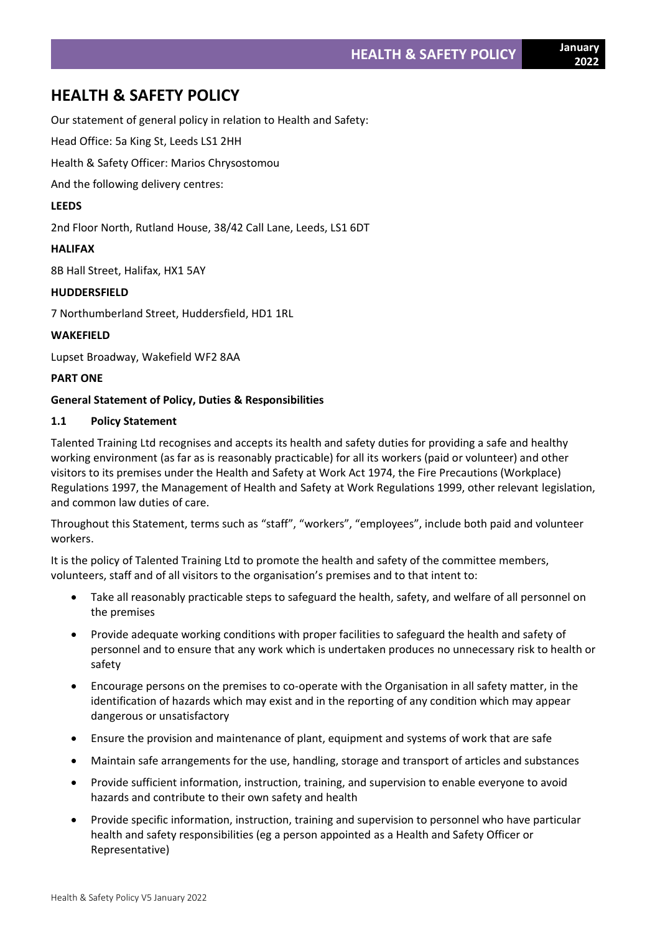# **HEALTH & SAFETY POLICY**

Our statement of general policy in relation to Health and Safety:

Head Office: 5a King St, Leeds LS1 2HH

Health & Safety Officer: Marios Chrysostomou

And the following delivery centres:

# **LEEDS**

2nd Floor North, Rutland House, 38/42 Call Lane, Leeds, LS1 6DT

# **HALIFAX**

8B Hall Street, Halifax, HX1 5AY

# **HUDDERSFIELD**

7 Northumberland Street, Huddersfield, HD1 1RL

# **WAKEFIELD**

Lupset Broadway, Wakefield WF2 8AA

# **PART ONE**

# **General Statement of Policy, Duties & Responsibilities**

# **1.1 Policy Statement**

Talented Training Ltd recognises and accepts its health and safety duties for providing a safe and healthy working environment (as far as is reasonably practicable) for all its workers (paid or volunteer) and other visitors to its premises under the Health and Safety at Work Act 1974, the Fire Precautions (Workplace) Regulations 1997, the Management of Health and Safety at Work Regulations 1999, other relevant legislation, and common law duties of care.

Throughout this Statement, terms such as "staff", "workers", "employees", include both paid and volunteer workers.

It is the policy of Talented Training Ltd to promote the health and safety of the committee members, volunteers, staff and of all visitors to the organisation's premises and to that intent to:

- Take all reasonably practicable steps to safeguard the health, safety, and welfare of all personnel on the premises
- Provide adequate working conditions with proper facilities to safeguard the health and safety of personnel and to ensure that any work which is undertaken produces no unnecessary risk to health or safety
- Encourage persons on the premises to co-operate with the Organisation in all safety matter, in the identification of hazards which may exist and in the reporting of any condition which may appear dangerous or unsatisfactory
- Ensure the provision and maintenance of plant, equipment and systems of work that are safe
- Maintain safe arrangements for the use, handling, storage and transport of articles and substances
- Provide sufficient information, instruction, training, and supervision to enable everyone to avoid hazards and contribute to their own safety and health
- Provide specific information, instruction, training and supervision to personnel who have particular health and safety responsibilities (eg a person appointed as a Health and Safety Officer or Representative)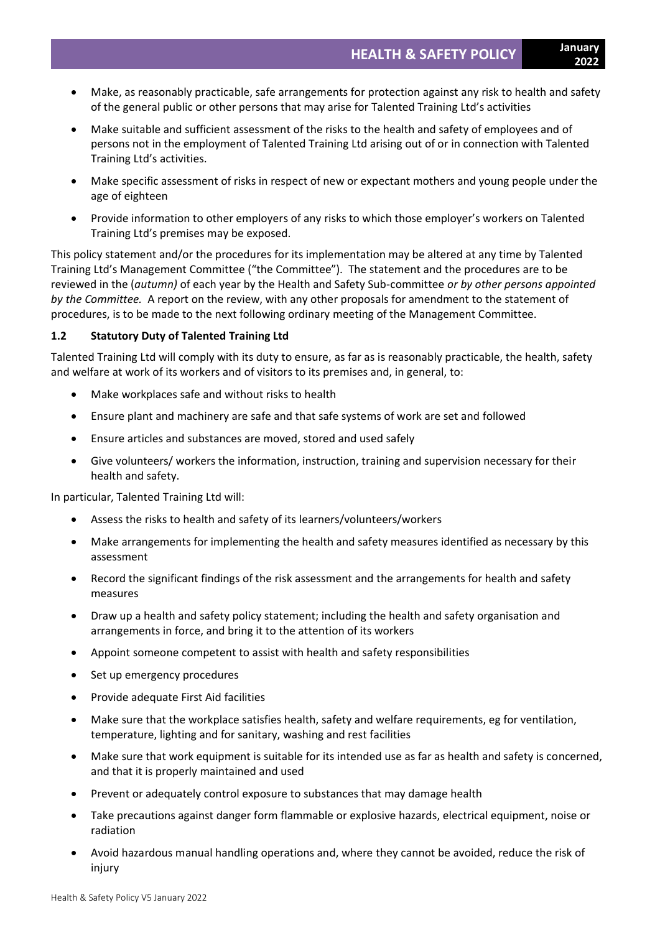- Make, as reasonably practicable, safe arrangements for protection against any risk to health and safety of the general public or other persons that may arise for Talented Training Ltd's activities
- Make suitable and sufficient assessment of the risks to the health and safety of employees and of persons not in the employment of Talented Training Ltd arising out of or in connection with Talented Training Ltd's activities.
- Make specific assessment of risks in respect of new or expectant mothers and young people under the age of eighteen
- Provide information to other employers of any risks to which those employer's workers on Talented Training Ltd's premises may be exposed.

This policy statement and/or the procedures for its implementation may be altered at any time by Talented Training Ltd's Management Committee ("the Committee"). The statement and the procedures are to be reviewed in the (*autumn)* of each year by the Health and Safety Sub-committee *or by other persons appointed by the Committee.* A report on the review, with any other proposals for amendment to the statement of procedures, is to be made to the next following ordinary meeting of the Management Committee.

# **1.2 Statutory Duty of Talented Training Ltd**

Talented Training Ltd will comply with its duty to ensure, as far as is reasonably practicable, the health, safety and welfare at work of its workers and of visitors to its premises and, in general, to:

- Make workplaces safe and without risks to health
- Ensure plant and machinery are safe and that safe systems of work are set and followed
- Ensure articles and substances are moved, stored and used safely
- Give volunteers/ workers the information, instruction, training and supervision necessary for their health and safety.

In particular, Talented Training Ltd will:

- Assess the risks to health and safety of its learners/volunteers/workers
- Make arrangements for implementing the health and safety measures identified as necessary by this assessment
- Record the significant findings of the risk assessment and the arrangements for health and safety measures
- Draw up a health and safety policy statement; including the health and safety organisation and arrangements in force, and bring it to the attention of its workers
- Appoint someone competent to assist with health and safety responsibilities
- Set up emergency procedures
- Provide adequate First Aid facilities
- Make sure that the workplace satisfies health, safety and welfare requirements, eg for ventilation, temperature, lighting and for sanitary, washing and rest facilities
- Make sure that work equipment is suitable for its intended use as far as health and safety is concerned, and that it is properly maintained and used
- Prevent or adequately control exposure to substances that may damage health
- Take precautions against danger form flammable or explosive hazards, electrical equipment, noise or radiation
- Avoid hazardous manual handling operations and, where they cannot be avoided, reduce the risk of injury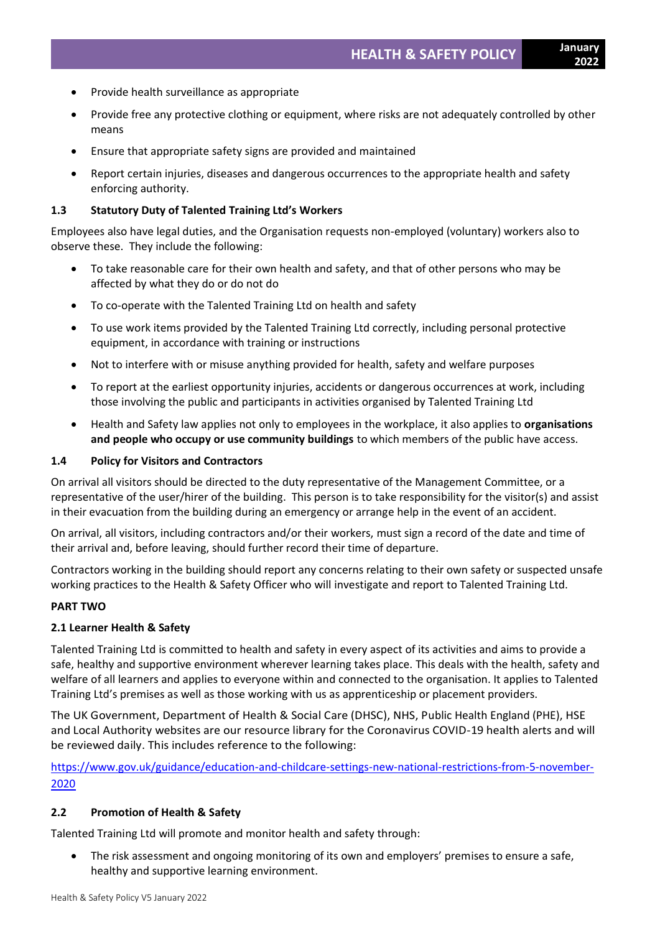- Provide health surveillance as appropriate
- Provide free any protective clothing or equipment, where risks are not adequately controlled by other means
- Ensure that appropriate safety signs are provided and maintained
- Report certain injuries, diseases and dangerous occurrences to the appropriate health and safety enforcing authority.

#### **1.3 Statutory Duty of Talented Training Ltd's Workers**

Employees also have legal duties, and the Organisation requests non-employed (voluntary) workers also to observe these. They include the following:

- To take reasonable care for their own health and safety, and that of other persons who may be affected by what they do or do not do
- To co-operate with the Talented Training Ltd on health and safety
- To use work items provided by the Talented Training Ltd correctly, including personal protective equipment, in accordance with training or instructions
- Not to interfere with or misuse anything provided for health, safety and welfare purposes
- To report at the earliest opportunity injuries, accidents or dangerous occurrences at work, including those involving the public and participants in activities organised by Talented Training Ltd
- Health and Safety law applies not only to employees in the workplace, it also applies to **organisations and people who occupy or use community buildings** to which members of the public have access.

#### **1.4 Policy for Visitors and Contractors**

On arrival all visitors should be directed to the duty representative of the Management Committee, or a representative of the user/hirer of the building. This person is to take responsibility for the visitor(s) and assist in their evacuation from the building during an emergency or arrange help in the event of an accident.

On arrival, all visitors, including contractors and/or their workers, must sign a record of the date and time of their arrival and, before leaving, should further record their time of departure.

Contractors working in the building should report any concerns relating to their own safety or suspected unsafe working practices to the Health & Safety Officer who will investigate and report to Talented Training Ltd.

#### **PART TWO**

#### **2.1 Learner Health & Safety**

Talented Training Ltd is committed to health and safety in every aspect of its activities and aims to provide a safe, healthy and supportive environment wherever learning takes place. This deals with the health, safety and welfare of all learners and applies to everyone within and connected to the organisation. It applies to Talented Training Ltd's premises as well as those working with us as apprenticeship or placement providers.

The UK Government, Department of Health & Social Care (DHSC), NHS, Public Health England (PHE), HSE and Local Authority websites are our resource library for the Coronavirus COVID-19 health alerts and will be reviewed daily. This includes reference to the following:

[https://www.gov.uk/guidance/education-and-childcare-settings-new-national-restrictions-from-5-november-](https://www.gov.uk/guidance/education-and-childcare-settings-new-national-restrictions-from-5-november-2020)[2020](https://www.gov.uk/guidance/education-and-childcare-settings-new-national-restrictions-from-5-november-2020)

#### **2.2 Promotion of Health & Safety**

Talented Training Ltd will promote and monitor health and safety through:

• The risk assessment and ongoing monitoring of its own and employers' premises to ensure a safe, healthy and supportive learning environment.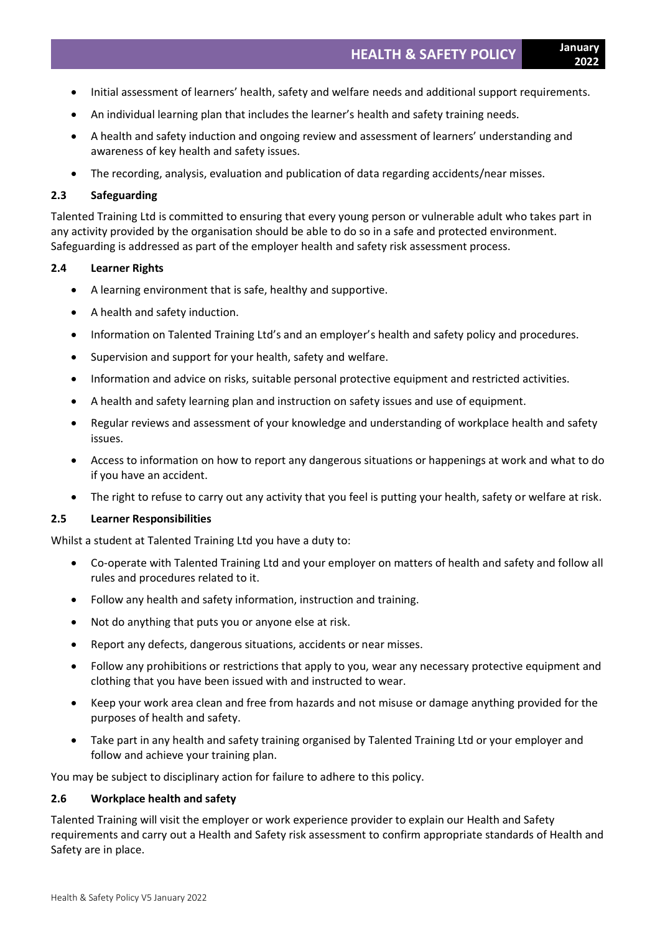- Initial assessment of learners' health, safety and welfare needs and additional support requirements.
- An individual learning plan that includes the learner's health and safety training needs.
- A health and safety induction and ongoing review and assessment of learners' understanding and awareness of key health and safety issues.
- The recording, analysis, evaluation and publication of data regarding accidents/near misses.

#### **2.3 Safeguarding**

Talented Training Ltd is committed to ensuring that every young person or vulnerable adult who takes part in any activity provided by the organisation should be able to do so in a safe and protected environment. Safeguarding is addressed as part of the employer health and safety risk assessment process.

### **2.4 Learner Rights**

- A learning environment that is safe, healthy and supportive.
- A health and safety induction.
- Information on Talented Training Ltd's and an employer's health and safety policy and procedures.
- Supervision and support for your health, safety and welfare.
- Information and advice on risks, suitable personal protective equipment and restricted activities.
- A health and safety learning plan and instruction on safety issues and use of equipment.
- Regular reviews and assessment of your knowledge and understanding of workplace health and safety issues.
- Access to information on how to report any dangerous situations or happenings at work and what to do if you have an accident.
- The right to refuse to carry out any activity that you feel is putting your health, safety or welfare at risk.

#### **2.5 Learner Responsibilities**

Whilst a student at Talented Training Ltd you have a duty to:

- Co-operate with Talented Training Ltd and your employer on matters of health and safety and follow all rules and procedures related to it.
- Follow any health and safety information, instruction and training.
- Not do anything that puts you or anyone else at risk.
- Report any defects, dangerous situations, accidents or near misses.
- Follow any prohibitions or restrictions that apply to you, wear any necessary protective equipment and clothing that you have been issued with and instructed to wear.
- Keep your work area clean and free from hazards and not misuse or damage anything provided for the purposes of health and safety.
- Take part in any health and safety training organised by Talented Training Ltd or your employer and follow and achieve your training plan.

You may be subject to disciplinary action for failure to adhere to this policy.

#### **2.6 Workplace health and safety**

Talented Training will visit the employer or work experience provider to explain our Health and Safety requirements and carry out a Health and Safety risk assessment to confirm appropriate standards of Health and Safety are in place.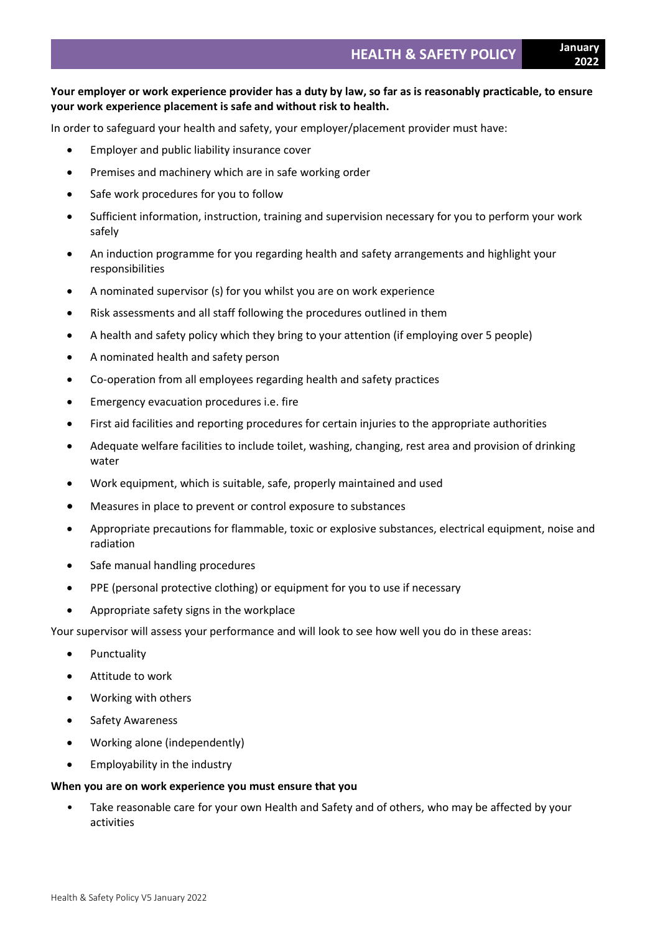# **Your employer or work experience provider has a duty by law, so far as is reasonably practicable, to ensure your work experience placement is safe and without risk to health.**

In order to safeguard your health and safety, your employer/placement provider must have:

- Employer and public liability insurance cover
- Premises and machinery which are in safe working order
- Safe work procedures for you to follow
- Sufficient information, instruction, training and supervision necessary for you to perform your work safely
- An induction programme for you regarding health and safety arrangements and highlight your responsibilities
- A nominated supervisor (s) for you whilst you are on work experience
- Risk assessments and all staff following the procedures outlined in them
- A health and safety policy which they bring to your attention (if employing over 5 people)
- A nominated health and safety person
- Co-operation from all employees regarding health and safety practices
- Emergency evacuation procedures i.e. fire
- First aid facilities and reporting procedures for certain injuries to the appropriate authorities
- Adequate welfare facilities to include toilet, washing, changing, rest area and provision of drinking water
- Work equipment, which is suitable, safe, properly maintained and used
- Measures in place to prevent or control exposure to substances
- Appropriate precautions for flammable, toxic or explosive substances, electrical equipment, noise and radiation
- Safe manual handling procedures
- PPE (personal protective clothing) or equipment for you to use if necessary
- Appropriate safety signs in the workplace

Your supervisor will assess your performance and will look to see how well you do in these areas:

- Punctuality
- Attitude to work
- Working with others
- Safety Awareness
- Working alone (independently)
- Employability in the industry

#### **When you are on work experience you must ensure that you**

• Take reasonable care for your own Health and Safety and of others, who may be affected by your activities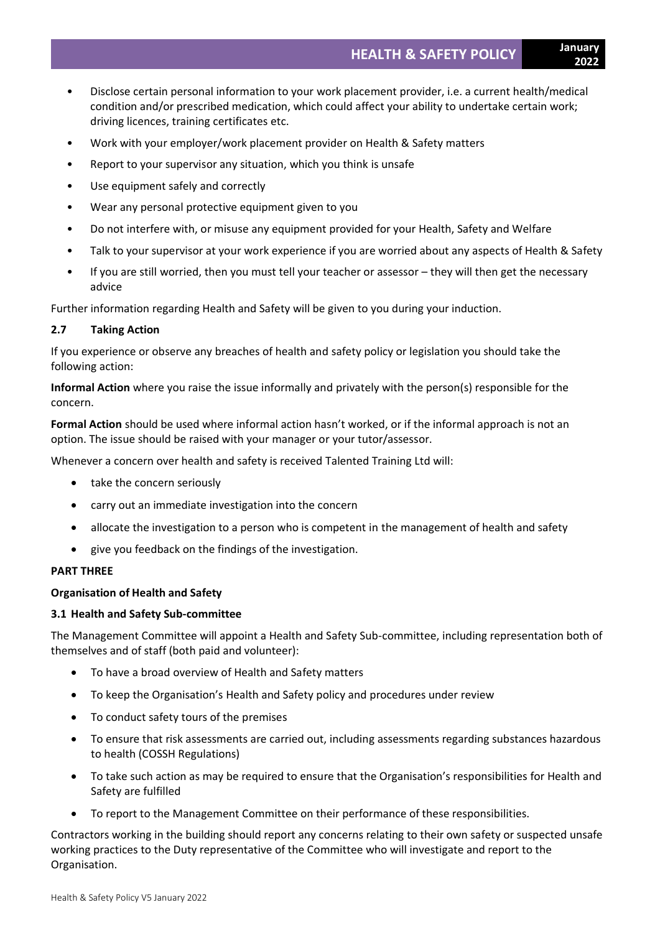**2022**

- Disclose certain personal information to your work placement provider, i.e. a current health/medical condition and/or prescribed medication, which could affect your ability to undertake certain work; driving licences, training certificates etc.
- Work with your employer/work placement provider on Health & Safety matters
- Report to your supervisor any situation, which you think is unsafe
- Use equipment safely and correctly
- Wear any personal protective equipment given to you
- Do not interfere with, or misuse any equipment provided for your Health, Safety and Welfare
- Talk to your supervisor at your work experience if you are worried about any aspects of Health & Safety
- If you are still worried, then you must tell your teacher or assessor they will then get the necessary advice

Further information regarding Health and Safety will be given to you during your induction.

# **2.7 Taking Action**

If you experience or observe any breaches of health and safety policy or legislation you should take the following action:

**Informal Action** where you raise the issue informally and privately with the person(s) responsible for the concern.

**Formal Action** should be used where informal action hasn't worked, or if the informal approach is not an option. The issue should be raised with your manager or your tutor/assessor.

Whenever a concern over health and safety is received Talented Training Ltd will:

- take the concern seriously
- carry out an immediate investigation into the concern
- allocate the investigation to a person who is competent in the management of health and safety
- give you feedback on the findings of the investigation.

# **PART THREE**

# **Organisation of Health and Safety**

# **3.1 Health and Safety Sub-committee**

The Management Committee will appoint a Health and Safety Sub-committee, including representation both of themselves and of staff (both paid and volunteer):

- To have a broad overview of Health and Safety matters
- To keep the Organisation's Health and Safety policy and procedures under review
- To conduct safety tours of the premises
- To ensure that risk assessments are carried out, including assessments regarding substances hazardous to health (COSSH Regulations)
- To take such action as may be required to ensure that the Organisation's responsibilities for Health and Safety are fulfilled
- To report to the Management Committee on their performance of these responsibilities.

Contractors working in the building should report any concerns relating to their own safety or suspected unsafe working practices to the Duty representative of the Committee who will investigate and report to the Organisation.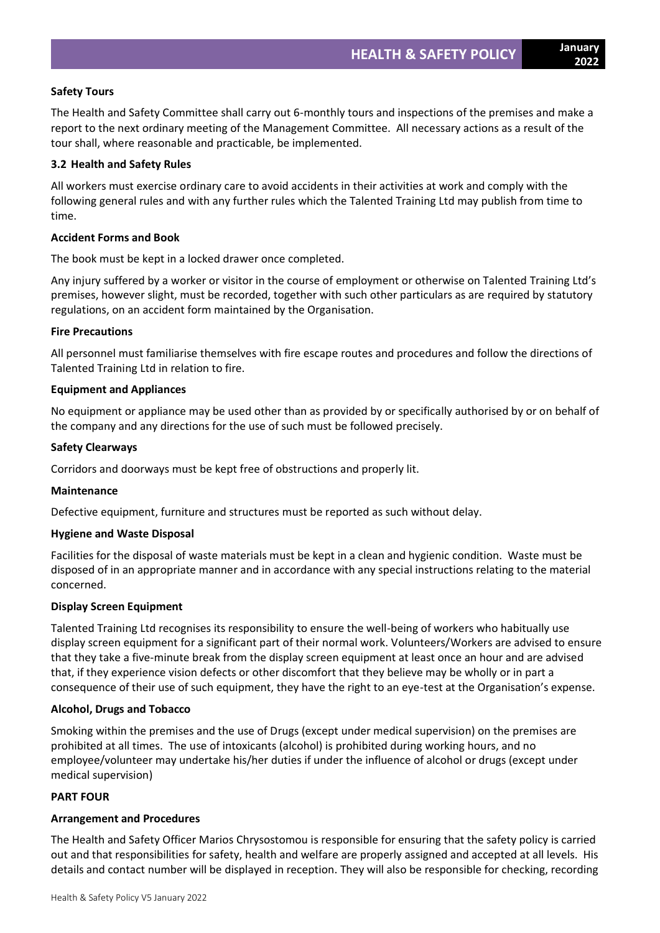# **Safety Tours**

The Health and Safety Committee shall carry out 6-monthly tours and inspections of the premises and make a report to the next ordinary meeting of the Management Committee. All necessary actions as a result of the tour shall, where reasonable and practicable, be implemented.

### **3.2 Health and Safety Rules**

All workers must exercise ordinary care to avoid accidents in their activities at work and comply with the following general rules and with any further rules which the Talented Training Ltd may publish from time to time.

# **Accident Forms and Book**

The book must be kept in a locked drawer once completed.

Any injury suffered by a worker or visitor in the course of employment or otherwise on Talented Training Ltd's premises, however slight, must be recorded, together with such other particulars as are required by statutory regulations, on an accident form maintained by the Organisation.

### **Fire Precautions**

All personnel must familiarise themselves with fire escape routes and procedures and follow the directions of Talented Training Ltd in relation to fire.

### **Equipment and Appliances**

No equipment or appliance may be used other than as provided by or specifically authorised by or on behalf of the company and any directions for the use of such must be followed precisely.

### **Safety Clearways**

Corridors and doorways must be kept free of obstructions and properly lit.

#### **Maintenance**

Defective equipment, furniture and structures must be reported as such without delay.

# **Hygiene and Waste Disposal**

Facilities for the disposal of waste materials must be kept in a clean and hygienic condition. Waste must be disposed of in an appropriate manner and in accordance with any special instructions relating to the material concerned.

# **Display Screen Equipment**

Talented Training Ltd recognises its responsibility to ensure the well-being of workers who habitually use display screen equipment for a significant part of their normal work. Volunteers/Workers are advised to ensure that they take a five-minute break from the display screen equipment at least once an hour and are advised that, if they experience vision defects or other discomfort that they believe may be wholly or in part a consequence of their use of such equipment, they have the right to an eye-test at the Organisation's expense.

#### **Alcohol, Drugs and Tobacco**

Smoking within the premises and the use of Drugs (except under medical supervision) on the premises are prohibited at all times. The use of intoxicants (alcohol) is prohibited during working hours, and no employee/volunteer may undertake his/her duties if under the influence of alcohol or drugs (except under medical supervision)

#### **PART FOUR**

# **Arrangement and Procedures**

The Health and Safety Officer Marios Chrysostomou is responsible for ensuring that the safety policy is carried out and that responsibilities for safety, health and welfare are properly assigned and accepted at all levels. His details and contact number will be displayed in reception. They will also be responsible for checking, recording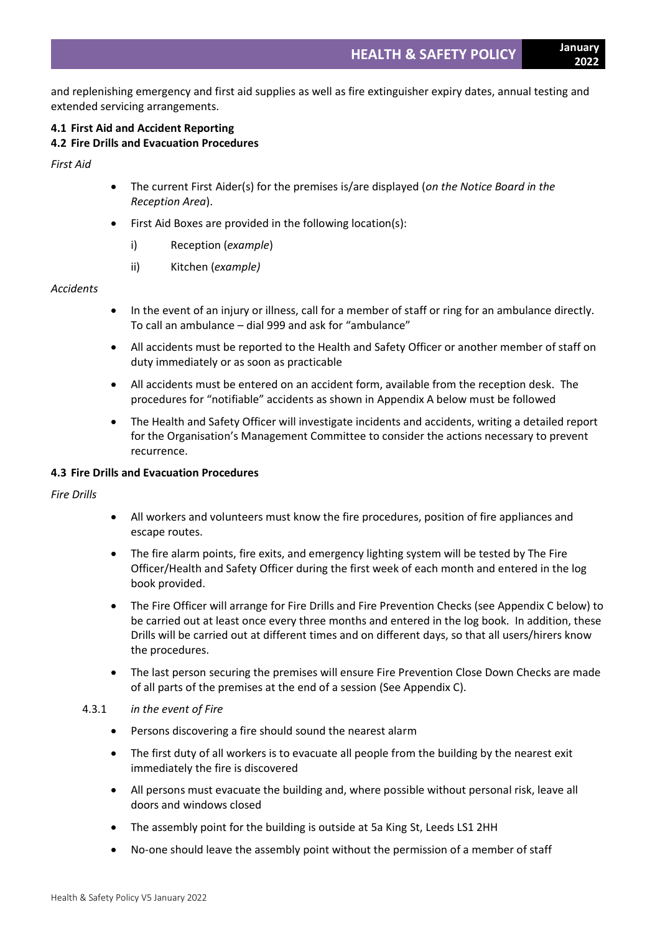and replenishing emergency and first aid supplies as well as fire extinguisher expiry dates, annual testing and extended servicing arrangements.

#### **4.1 First Aid and Accident Reporting 4.2 Fire Drills and Evacuation Procedures**

*First Aid*

- The current First Aider(s) for the premises is/are displayed (*on the Notice Board in the Reception Area*).
- First Aid Boxes are provided in the following location(s):
	- i) Reception (*example*)
	- ii) Kitchen (*example)*

# *Accidents*

- In the event of an injury or illness, call for a member of staff or ring for an ambulance directly. To call an ambulance – dial 999 and ask for "ambulance"
- All accidents must be reported to the Health and Safety Officer or another member of staff on duty immediately or as soon as practicable
- All accidents must be entered on an accident form, available from the reception desk. The procedures for "notifiable" accidents as shown in Appendix A below must be followed
- The Health and Safety Officer will investigate incidents and accidents, writing a detailed report for the Organisation's Management Committee to consider the actions necessary to prevent recurrence.

# **4.3 Fire Drills and Evacuation Procedures**

*Fire Drills*

- All workers and volunteers must know the fire procedures, position of fire appliances and escape routes.
- The fire alarm points, fire exits, and emergency lighting system will be tested by The Fire Officer/Health and Safety Officer during the first week of each month and entered in the log book provided.
- The Fire Officer will arrange for Fire Drills and Fire Prevention Checks (see Appendix C below) to be carried out at least once every three months and entered in the log book. In addition, these Drills will be carried out at different times and on different days, so that all users/hirers know the procedures.
- The last person securing the premises will ensure Fire Prevention Close Down Checks are made of all parts of the premises at the end of a session (See Appendix C).

# 4.3.1 *in the event of Fire*

- Persons discovering a fire should sound the nearest alarm
- The first duty of all workers is to evacuate all people from the building by the nearest exit immediately the fire is discovered
- All persons must evacuate the building and, where possible without personal risk, leave all doors and windows closed
- The assembly point for the building is outside at 5a King St, Leeds LS1 2HH
- No-one should leave the assembly point without the permission of a member of staff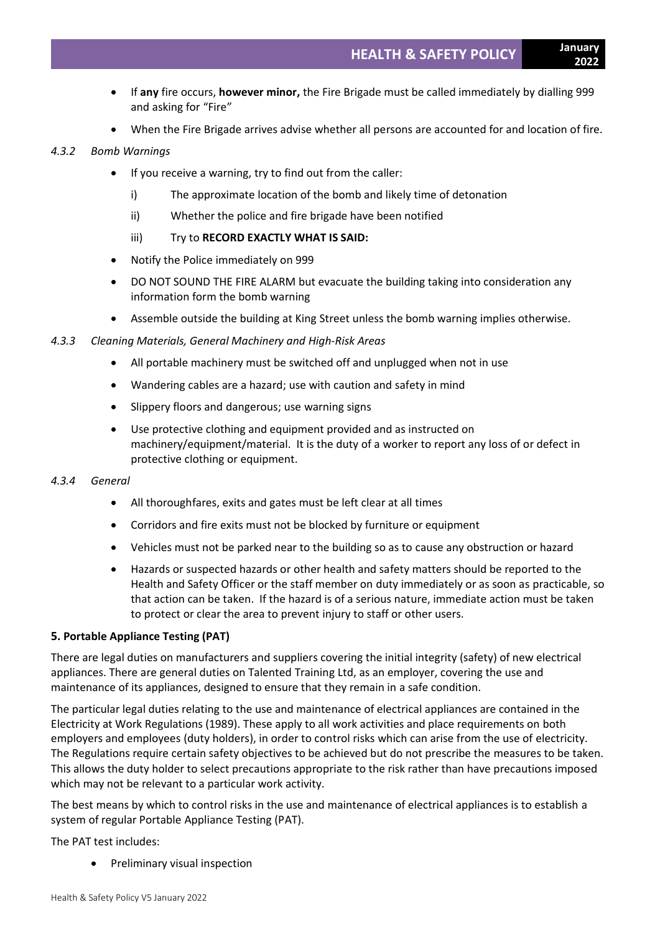- If **any** fire occurs, **however minor,** the Fire Brigade must be called immediately by dialling 999 and asking for "Fire"
- When the Fire Brigade arrives advise whether all persons are accounted for and location of fire.

# *4.3.2 Bomb Warnings*

- If you receive a warning, try to find out from the caller:
	- i) The approximate location of the bomb and likely time of detonation
	- ii) Whether the police and fire brigade have been notified
	- iii) Try to **RECORD EXACTLY WHAT IS SAID:**
- Notify the Police immediately on 999
- DO NOT SOUND THE FIRE ALARM but evacuate the building taking into consideration any information form the bomb warning
- Assemble outside the building at King Street unless the bomb warning implies otherwise.

# *4.3.3 Cleaning Materials, General Machinery and High-Risk Areas*

- All portable machinery must be switched off and unplugged when not in use
- Wandering cables are a hazard; use with caution and safety in mind
- Slippery floors and dangerous; use warning signs
- Use protective clothing and equipment provided and as instructed on machinery/equipment/material. It is the duty of a worker to report any loss of or defect in protective clothing or equipment.

# *4.3.4 General*

- All thoroughfares, exits and gates must be left clear at all times
- Corridors and fire exits must not be blocked by furniture or equipment
- Vehicles must not be parked near to the building so as to cause any obstruction or hazard
- Hazards or suspected hazards or other health and safety matters should be reported to the Health and Safety Officer or the staff member on duty immediately or as soon as practicable, so that action can be taken. If the hazard is of a serious nature, immediate action must be taken to protect or clear the area to prevent injury to staff or other users.

# **5. Portable Appliance Testing (PAT)**

There are legal duties on manufacturers and suppliers covering the initial integrity (safety) of new electrical appliances. There are general duties on Talented Training Ltd, as an employer, covering the use and maintenance of its appliances, designed to ensure that they remain in a safe condition.

The particular legal duties relating to the use and maintenance of electrical appliances are contained in the Electricity at Work Regulations (1989). These apply to all work activities and place requirements on both employers and employees (duty holders), in order to control risks which can arise from the use of electricity. The Regulations require certain safety objectives to be achieved but do not prescribe the measures to be taken. This allows the duty holder to select precautions appropriate to the risk rather than have precautions imposed which may not be relevant to a particular work activity.

The best means by which to control risks in the use and maintenance of electrical appliances is to establish a system of regular Portable Appliance Testing (PAT).

The PAT test includes:

• Preliminary visual inspection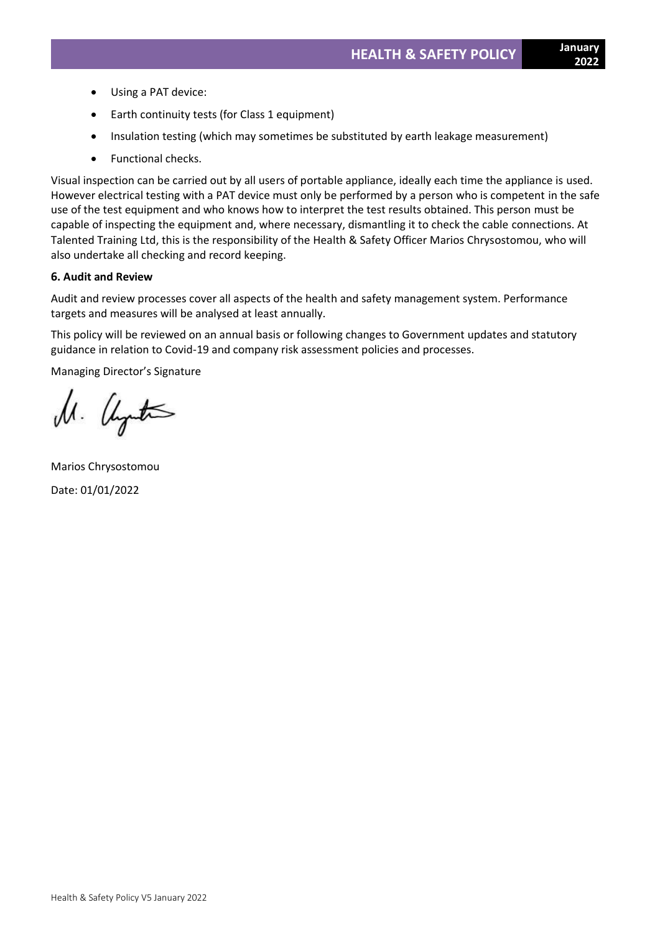- Using a PAT device:
- Earth continuity tests (for Class 1 equipment)
- Insulation testing (which may sometimes be substituted by earth leakage measurement)
- Functional checks.

Visual inspection can be carried out by all users of portable appliance, ideally each time the appliance is used. However electrical testing with a PAT device must only be performed by a person who is competent in the safe use of the test equipment and who knows how to interpret the test results obtained. This person must be capable of inspecting the equipment and, where necessary, dismantling it to check the cable connections. At Talented Training Ltd, this is the responsibility of the Health & Safety Officer Marios Chrysostomou, who will also undertake all checking and record keeping.

### **6. Audit and Review**

Audit and review processes cover all aspects of the health and safety management system. Performance targets and measures will be analysed at least annually.

This policy will be reviewed on an annual basis or following changes to Government updates and statutory guidance in relation to Covid-19 and company risk assessment policies and processes.

Managing Director's Signature

M. United

Marios Chrysostomou Date: 01/01/2022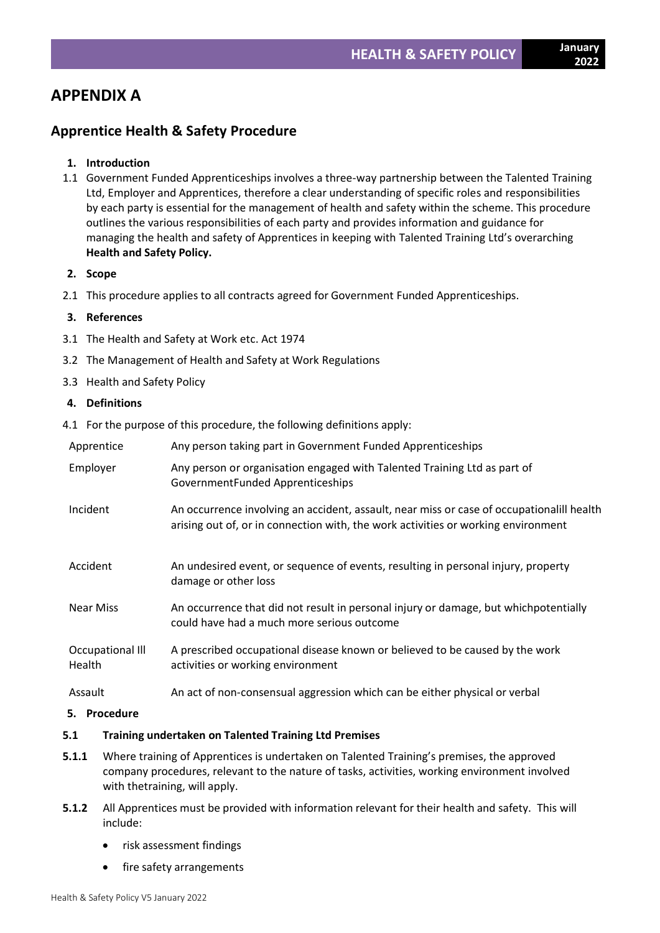# **APPENDIX A**

# **Apprentice Health & Safety Procedure**

# **1. Introduction**

- 1.1 Government Funded Apprenticeships involves a three-way partnership between the Talented Training Ltd, Employer and Apprentices, therefore a clear understanding of specific roles and responsibilities by each party is essential for the management of health and safety within the scheme. This procedure outlines the various responsibilities of each party and provides information and guidance for managing the health and safety of Apprentices in keeping with Talented Training Ltd's overarching **Health and Safety Policy.**
- **2. Scope**
- 2.1 This procedure applies to all contracts agreed for Government Funded Apprenticeships.

# **3. References**

- 3.1 The Health and Safety at Work etc. Act 1974
- 3.2 The Management of Health and Safety at Work Regulations
- 3.3 Health and Safety Policy

# **4. Definitions**

4.1 For the purpose of this procedure, the following definitions apply:

| Apprentice                        | Any person taking part in Government Funded Apprenticeships                                                                                                                    |
|-----------------------------------|--------------------------------------------------------------------------------------------------------------------------------------------------------------------------------|
| Employer                          | Any person or organisation engaged with Talented Training Ltd as part of<br>GovernmentFunded Apprenticeships                                                                   |
| Incident                          | An occurrence involving an accident, assault, near miss or case of occupationalill health<br>arising out of, or in connection with, the work activities or working environment |
| Accident                          | An undesired event, or sequence of events, resulting in personal injury, property<br>damage or other loss                                                                      |
| <b>Near Miss</b>                  | An occurrence that did not result in personal injury or damage, but which potentially<br>could have had a much more serious outcome                                            |
| Occupational III<br><b>Health</b> | A prescribed occupational disease known or believed to be caused by the work<br>activities or working environment                                                              |
| Assault                           | An act of non-consensual aggression which can be either physical or verbal                                                                                                     |

# **5. Procedure**

# **5.1 Training undertaken on Talented Training Ltd Premises**

- **5.1.1** Where training of Apprentices is undertaken on Talented Training's premises, the approved company procedures, relevant to the nature of tasks, activities, working environment involved with thetraining, will apply.
- **5.1.2** All Apprentices must be provided with information relevant for their health and safety. This will include:
	- risk assessment findings
	- fire safety arrangements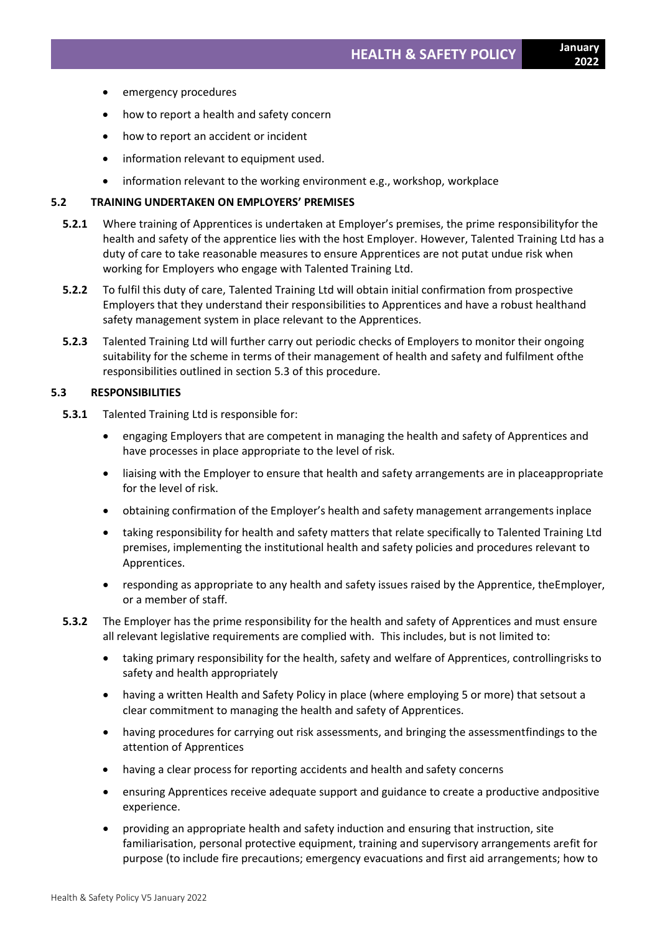- emergency procedures
- how to report a health and safety concern
- how to report an accident or incident
- information relevant to equipment used.
- information relevant to the working environment e.g., workshop, workplace

#### **5.2 TRAINING UNDERTAKEN ON EMPLOYERS' PREMISES**

- **5.2.1** Where training of Apprentices is undertaken at Employer's premises, the prime responsibilityfor the health and safety of the apprentice lies with the host Employer. However, Talented Training Ltd has a duty of care to take reasonable measures to ensure Apprentices are not putat undue risk when working for Employers who engage with Talented Training Ltd.
- **5.2.2** To fulfil this duty of care, Talented Training Ltd will obtain initial confirmation from prospective Employers that they understand their responsibilities to Apprentices and have a robust healthand safety management system in place relevant to the Apprentices.
- **5.2.3** Talented Training Ltd will further carry out periodic checks of Employers to monitor their ongoing suitability for the scheme in terms of their management of health and safety and fulfilment ofthe responsibilities outlined in section 5.3 of this procedure.

# **5.3 RESPONSIBILITIES**

- **5.3.1** Talented Training Ltd is responsible for:
	- engaging Employers that are competent in managing the health and safety of Apprentices and have processes in place appropriate to the level of risk.
	- liaising with the Employer to ensure that health and safety arrangements are in placeappropriate for the level of risk.
	- obtaining confirmation of the Employer's health and safety management arrangements inplace
	- taking responsibility for health and safety matters that relate specifically to Talented Training Ltd premises, implementing the institutional health and safety policies and procedures relevant to Apprentices.
	- responding as appropriate to any health and safety issues raised by the Apprentice, theEmployer, or a member of staff.
- **5.3.2** The Employer has the prime responsibility for the health and safety of Apprentices and must ensure all relevant legislative requirements are complied with. This includes, but is not limited to:
	- taking primary responsibility for the health, safety and welfare of Apprentices, controllingrisks to safety and health appropriately
	- having a written Health and Safety Policy in place (where employing 5 or more) that setsout a clear commitment to managing the health and safety of Apprentices.
	- having procedures for carrying out risk assessments, and bringing the assessmentfindings to the attention of Apprentices
	- having a clear process for reporting accidents and health and safety concerns
	- ensuring Apprentices receive adequate support and guidance to create a productive andpositive experience.
	- providing an appropriate health and safety induction and ensuring that instruction, site familiarisation, personal protective equipment, training and supervisory arrangements arefit for purpose (to include fire precautions; emergency evacuations and first aid arrangements; how to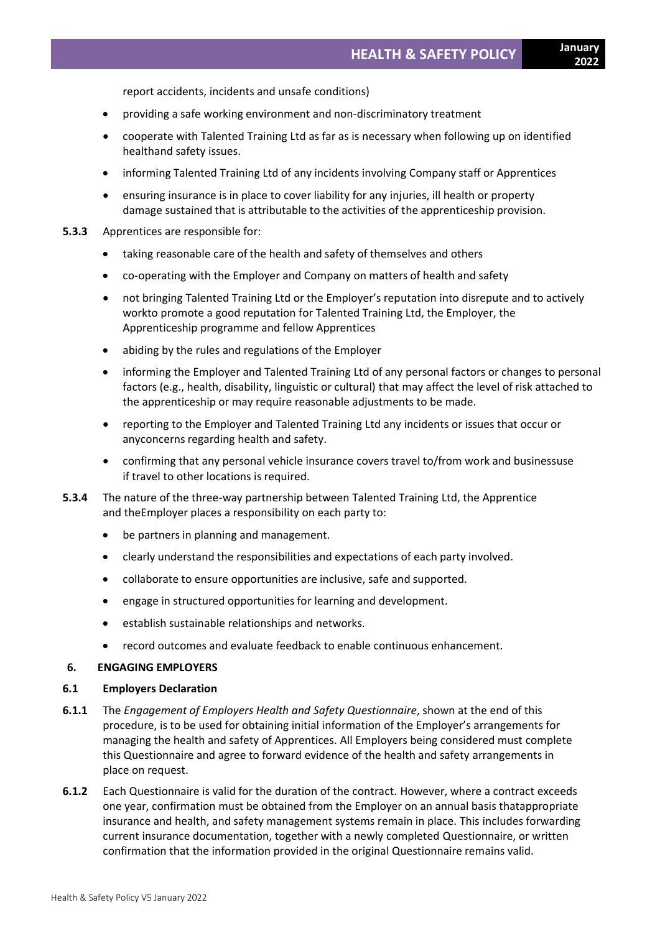report accidents, incidents and unsafe conditions)

- providing a safe working environment and non-discriminatory treatment
- cooperate with Talented Training Ltd as far as is necessary when following up on identified healthand safety issues.
- informing Talented Training Ltd of any incidents involving Company staff or Apprentices
- ensuring insurance is in place to cover liability for any injuries, ill health or property damage sustained that is attributable to the activities of the apprenticeship provision.
- **5.3.3** Apprentices are responsible for:
	- taking reasonable care of the health and safety of themselves and others
	- co-operating with the Employer and Company on matters of health and safety
	- not bringing Talented Training Ltd or the Employer's reputation into disrepute and to actively workto promote a good reputation for Talented Training Ltd, the Employer, the Apprenticeship programme and fellow Apprentices
	- abiding by the rules and regulations of the Employer
	- informing the Employer and Talented Training Ltd of any personal factors or changes to personal factors (e.g., health, disability, linguistic or cultural) that may affect the level of risk attached to the apprenticeship or may require reasonable adjustments to be made.
	- reporting to the Employer and Talented Training Ltd any incidents or issues that occur or anyconcerns regarding health and safety.
	- confirming that any personal vehicle insurance covers travel to/from work and businessuse if travel to other locations is required.
- **5.3.4** The nature of the three-way partnership between Talented Training Ltd, the Apprentice and theEmployer places a responsibility on each party to:
	- be partners in planning and management.
	- clearly understand the responsibilities and expectations of each party involved.
	- collaborate to ensure opportunities are inclusive, safe and supported.
	- engage in structured opportunities for learning and development.
	- establish sustainable relationships and networks.
	- record outcomes and evaluate feedback to enable continuous enhancement.

#### **6. ENGAGING EMPLOYERS**

#### **6.1 Employers Declaration**

- **6.1.1** The *Engagement of Employers Health and Safety Questionnaire*, shown at the end of this procedure, is to be used for obtaining initial information of the Employer's arrangements for managing the health and safety of Apprentices. All Employers being considered must complete this Questionnaire and agree to forward evidence of the health and safety arrangements in place on request.
- **6.1.2** Each Questionnaire is valid for the duration of the contract. However, where a contract exceeds one year, confirmation must be obtained from the Employer on an annual basis thatappropriate insurance and health, and safety management systems remain in place. This includes forwarding current insurance documentation, together with a newly completed Questionnaire, or written confirmation that the information provided in the original Questionnaire remains valid.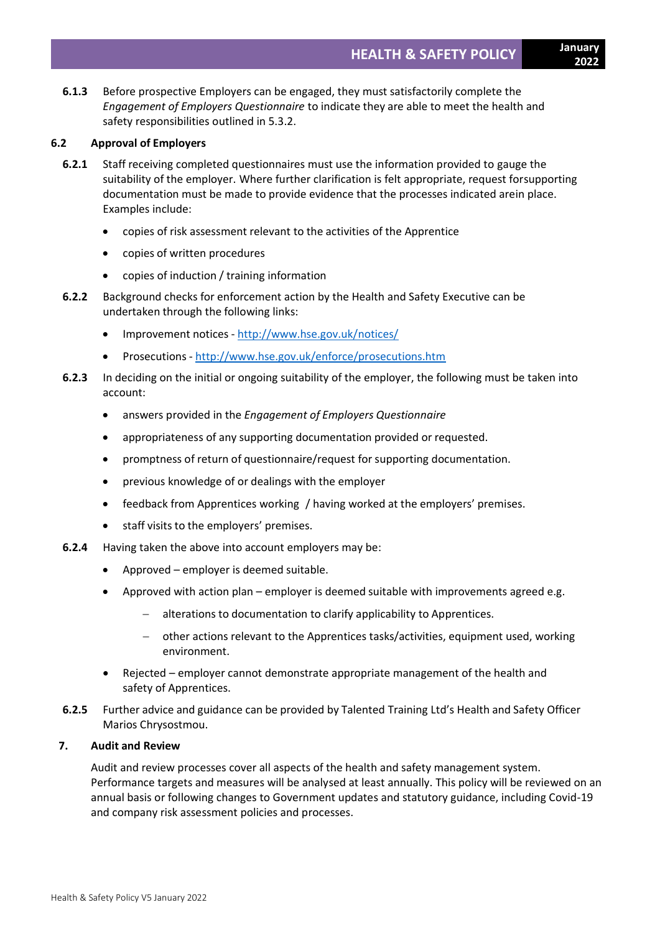- **2022**
- **6.1.3** Before prospective Employers can be engaged, they must satisfactorily complete the *Engagement of Employers Questionnaire* to indicate they are able to meet the health and safety responsibilities outlined in 5.3.2.

### **6.2 Approval of Employers**

- **6.2.1** Staff receiving completed questionnaires must use the information provided to gauge the suitability of the employer. Where further clarification is felt appropriate, request forsupporting documentation must be made to provide evidence that the processes indicated arein place. Examples include:
	- copies of risk assessment relevant to the activities of the Apprentice
	- copies of written procedures
	- copies of induction / training information
- **6.2.2** Background checks for enforcement action by the Health and Safety Executive can be undertaken through the following links:
	- Improvement notices <http://www.hse.gov.uk/notices/>
	- Prosecutions <http://www.hse.gov.uk/enforce/prosecutions.htm>
- **6.2.3** In deciding on the initial or ongoing suitability of the employer, the following must be taken into account:
	- answers provided in the *Engagement of Employers Questionnaire*
	- appropriateness of any supporting documentation provided or requested.
	- promptness of return of questionnaire/request for supporting documentation.
	- previous knowledge of or dealings with the employer
	- feedback from Apprentices working / having worked at the employers' premises.
	- staff visits to the employers' premises.
- **6.2.4** Having taken the above into account employers may be:
	- Approved employer is deemed suitable.
	- Approved with action plan employer is deemed suitable with improvements agreed e.g.
		- alterations to documentation to clarify applicability to Apprentices.
		- − other actions relevant to the Apprentices tasks/activities, equipment used, working environment.
	- Rejected employer cannot demonstrate appropriate management of the health and safety of Apprentices.
- **6.2.5** Further advice and guidance can be provided by Talented Training Ltd's Health and Safety Officer Marios Chrysostmou.

### **7. Audit and Review**

Audit and review processes cover all aspects of the health and safety management system. Performance targets and measures will be analysed at least annually. This policy will be reviewed on an annual basis or following changes to Government updates and statutory guidance, including Covid-19 and company risk assessment policies and processes.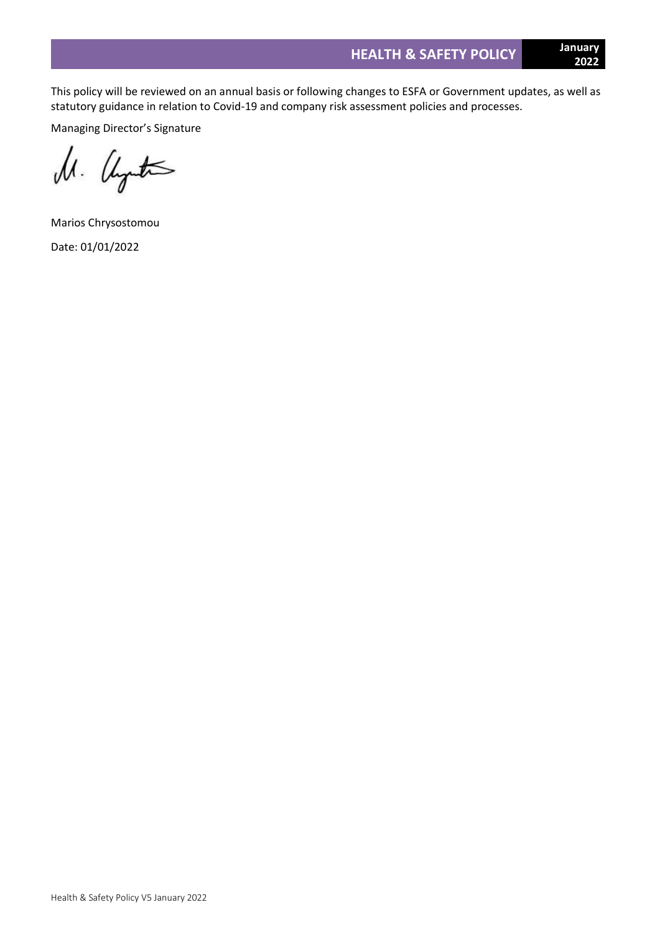This policy will be reviewed on an annual basis or following changes to ESFA or Government updates, as well as statutory guidance in relation to Covid-19 and company risk assessment policies and processes.

Managing Director's Signature

M. United

Marios Chrysostomou Date: 01/01/2022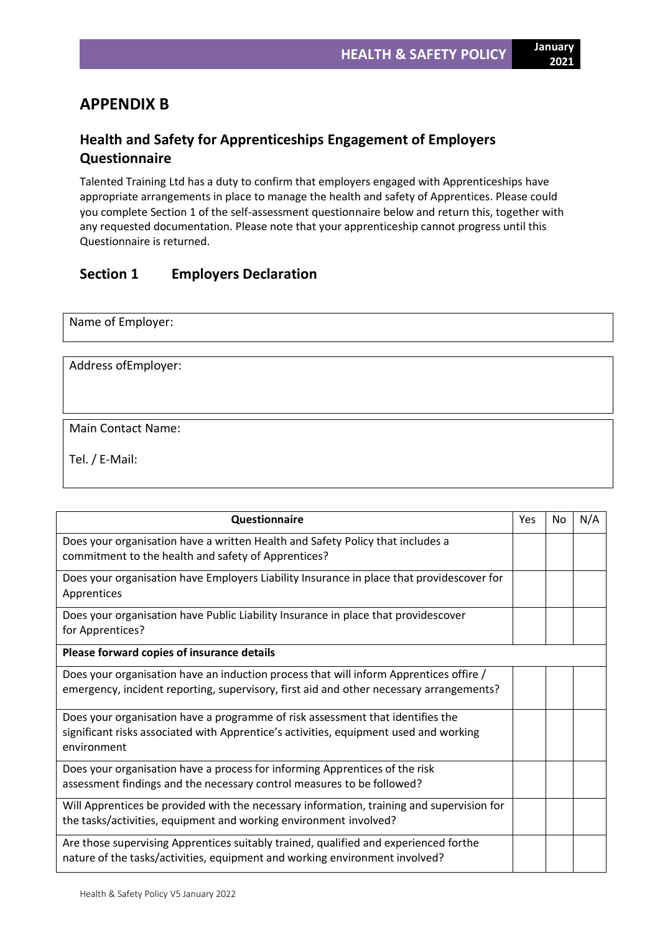# **APPENDIX B**

# **Health and Safety for Apprenticeships Engagement of Employers Questionnaire**

Talented Training Ltd has a duty to confirm that employers engaged with Apprenticeships have appropriate arrangements in place to manage the health and safety of Apprentices. Please could you complete Section 1 of the self-assessment questionnaire below and return this, together with any requested documentation. Please note that your apprenticeship cannot progress until this Questionnaire is returned.

# **Section 1 Employers Declaration**

| Name of Employer:    |  |
|----------------------|--|
| Address of Employer: |  |
|                      |  |

Main Contact Name:

Tel. / E-Mail:

| Questionnaire                                                                                                                                                                          | Yes | No | N/A |
|----------------------------------------------------------------------------------------------------------------------------------------------------------------------------------------|-----|----|-----|
| Does your organisation have a written Health and Safety Policy that includes a<br>commitment to the health and safety of Apprentices?                                                  |     |    |     |
| Does your organisation have Employers Liability Insurance in place that providescover for<br>Apprentices                                                                               |     |    |     |
| Does your organisation have Public Liability Insurance in place that providescover<br>for Apprentices?                                                                                 |     |    |     |
| Please forward copies of insurance details                                                                                                                                             |     |    |     |
| Does your organisation have an induction process that will inform Apprentices offire /<br>emergency, incident reporting, supervisory, first aid and other necessary arrangements?      |     |    |     |
| Does your organisation have a programme of risk assessment that identifies the<br>significant risks associated with Apprentice's activities, equipment used and working<br>environment |     |    |     |
| Does your organisation have a process for informing Apprentices of the risk<br>assessment findings and the necessary control measures to be followed?                                  |     |    |     |
| Will Apprentices be provided with the necessary information, training and supervision for<br>the tasks/activities, equipment and working environment involved?                         |     |    |     |
| Are those supervising Apprentices suitably trained, qualified and experienced forthe<br>nature of the tasks/activities, equipment and working environment involved?                    |     |    |     |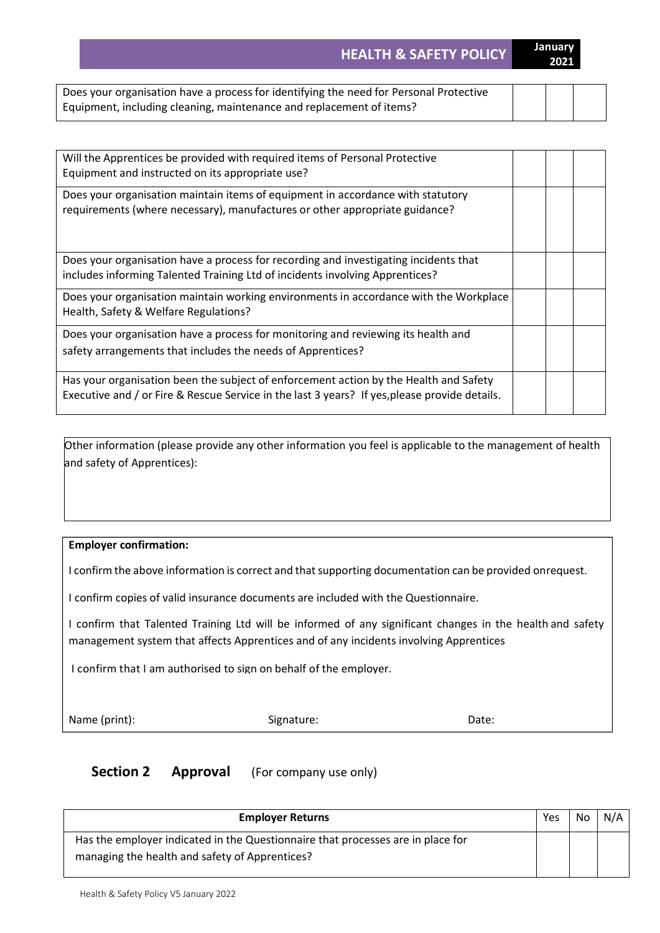**HEALTH & SAFETY POLICY January** 

| ı<br>Ŧ.<br>۰<br>٠ |
|-------------------|
|                   |
|                   |

| Does your organisation have a process for identifying the need for Personal Protective |  |  |
|----------------------------------------------------------------------------------------|--|--|
| Equipment, including cleaning, maintenance and replacement of items?                   |  |  |

| Will the Apprentices be provided with required items of Personal Protective<br>Equipment and instructed on its appropriate use?                                                        |  |  |
|----------------------------------------------------------------------------------------------------------------------------------------------------------------------------------------|--|--|
| Does your organisation maintain items of equipment in accordance with statutory<br>requirements (where necessary), manufactures or other appropriate guidance?                         |  |  |
| Does your organisation have a process for recording and investigating incidents that<br>includes informing Talented Training Ltd of incidents involving Apprentices?                   |  |  |
| Does your organisation maintain working environments in accordance with the Workplace<br>Health, Safety & Welfare Regulations?                                                         |  |  |
| Does your organisation have a process for monitoring and reviewing its health and<br>safety arrangements that includes the needs of Apprentices?                                       |  |  |
| Has your organisation been the subject of enforcement action by the Health and Safety<br>Executive and / or Fire & Rescue Service in the last 3 years? If yes, please provide details. |  |  |

Other information (please provide any other information you feel is applicable to the management of health and safety of Apprentices):

# **Employer confirmation:**

I confirm the above information is correct and that supporting documentation can be provided onrequest.

I confirm copies of valid insurance documents are included with the Questionnaire.

I confirm that Talented Training Ltd will be informed of any significant changes in the health and safety management system that affects Apprentices and of any incidents involving Apprentices

I confirm that I am authorised to sign on behalf of the employer.

Name (print): Signature: Signature: Date:

# **Section 2 Approval** (For company use only)

| <b>Employer Returns</b>                                                         | Yes | No | N/A |
|---------------------------------------------------------------------------------|-----|----|-----|
| Has the employer indicated in the Questionnaire that processes are in place for |     |    |     |
| managing the health and safety of Apprentices?                                  |     |    |     |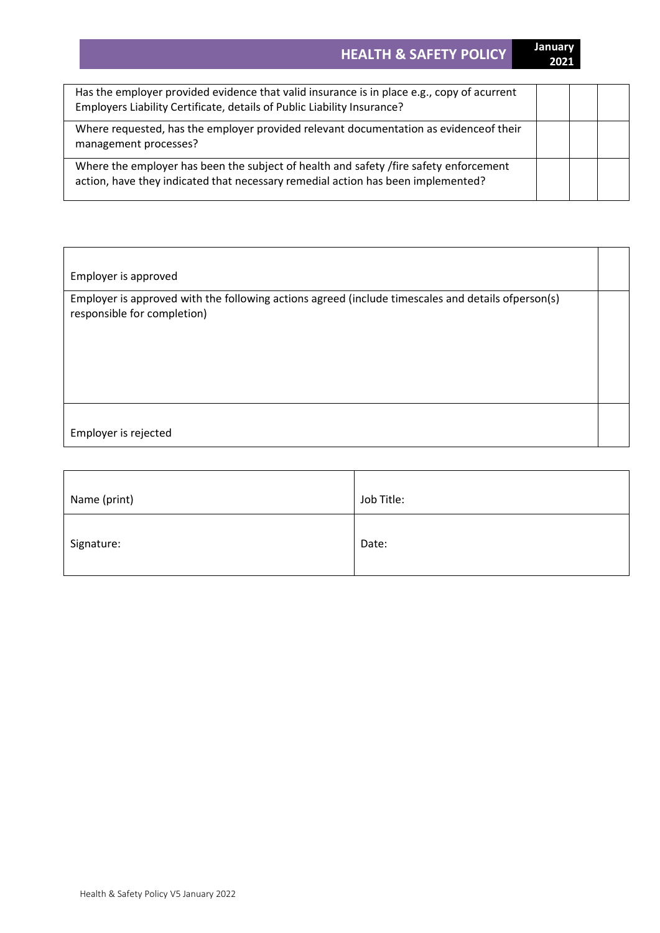**HEALTH & SAFETY POLICY January** 

| Has the employer provided evidence that valid insurance is in place e.g., copy of acurrent<br>Employers Liability Certificate, details of Public Liability Insurance?     |  |  |
|---------------------------------------------------------------------------------------------------------------------------------------------------------------------------|--|--|
| Where requested, has the employer provided relevant documentation as evidence of their<br>management processes?                                                           |  |  |
| Where the employer has been the subject of health and safety /fire safety enforcement<br>action, have they indicated that necessary remedial action has been implemented? |  |  |

Employer is approved

Employer is approved with the following actions agreed (include timescales and details ofperson(s) responsible for completion)

Employer is rejected

| Name (print) | Job Title: |
|--------------|------------|
| Signature:   | Date:      |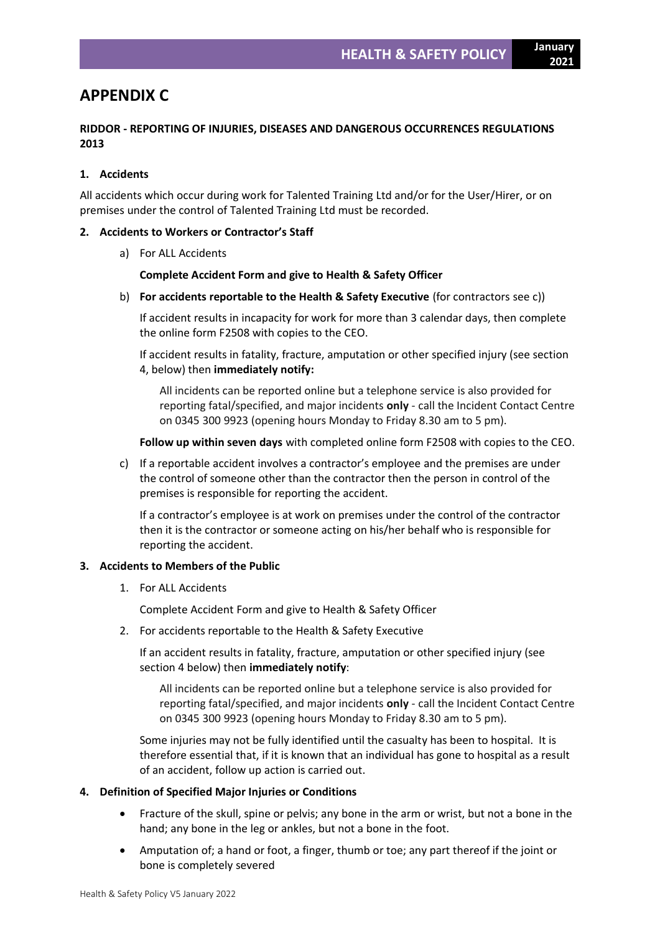**2021**

# **APPENDIX C**

# **RIDDOR - REPORTING OF INJURIES, DISEASES AND DANGEROUS OCCURRENCES REGULATIONS 2013**

# **1. Accidents**

All accidents which occur during work for Talented Training Ltd and/or for the User/Hirer, or on premises under the control of Talented Training Ltd must be recorded.

#### **2. Accidents to Workers or Contractor's Staff**

a) For ALL Accidents

### **Complete Accident Form and give to Health & Safety Officer**

b) **For accidents reportable to the Health & Safety Executive** (for contractors see c))

If accident results in incapacity for work for more than 3 calendar days, then complete the online form F2508 with copies to the CEO.

If accident results in fatality, fracture, amputation or other specified injury (see section 4, below) then **immediately notify:**

All incidents can be reported online but a telephone service is also provided for reporting fatal/specified, and major incidents **only** - call the Incident Contact Centre on 0345 300 9923 (opening hours Monday to Friday 8.30 am to 5 pm).

**Follow up within seven days** with completed online form F2508 with copies to the CEO.

c) If a reportable accident involves a contractor's employee and the premises are under the control of someone other than the contractor then the person in control of the premises is responsible for reporting the accident.

If a contractor's employee is at work on premises under the control of the contractor then it is the contractor or someone acting on his/her behalf who is responsible for reporting the accident.

#### **3. Accidents to Members of the Public**

1. For ALL Accidents

Complete Accident Form and give to Health & Safety Officer

2. For accidents reportable to the Health & Safety Executive

If an accident results in fatality, fracture, amputation or other specified injury (see section 4 below) then **immediately notify**:

All incidents can be reported online but a telephone service is also provided for reporting fatal/specified, and major incidents **only** - call the Incident Contact Centre on 0345 300 9923 (opening hours Monday to Friday 8.30 am to 5 pm).

Some injuries may not be fully identified until the casualty has been to hospital. It is therefore essential that, if it is known that an individual has gone to hospital as a result of an accident, follow up action is carried out.

#### **4. Definition of Specified Major Injuries or Conditions**

- Fracture of the skull, spine or pelvis; any bone in the arm or wrist, but not a bone in the hand; any bone in the leg or ankles, but not a bone in the foot.
- Amputation of; a hand or foot, a finger, thumb or toe; any part thereof if the joint or bone is completely severed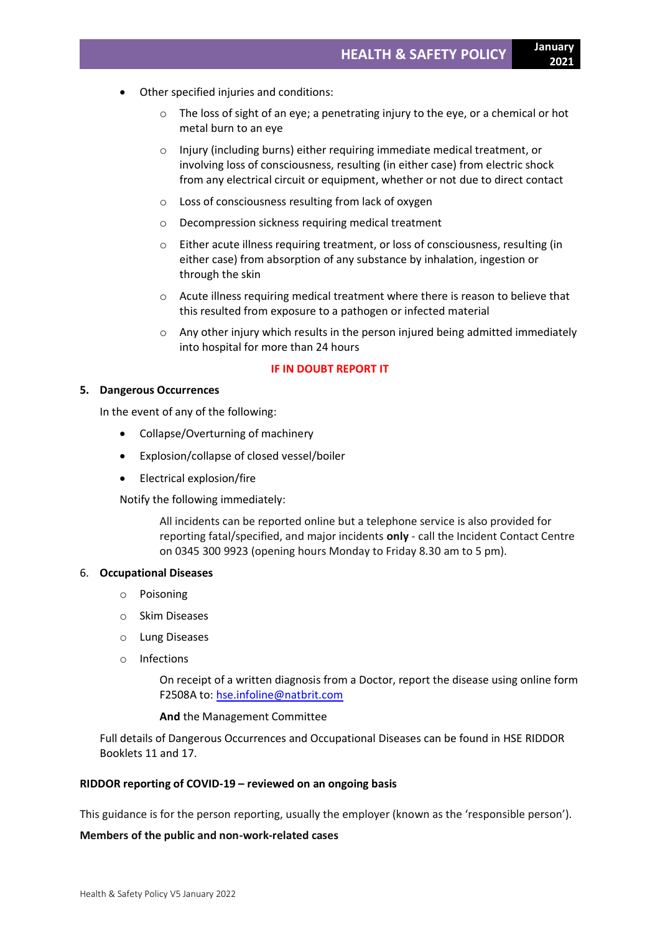- Other specified injuries and conditions:
	- $\circ$  The loss of sight of an eye; a penetrating injury to the eye, or a chemical or hot metal burn to an eye
	- o Injury (including burns) either requiring immediate medical treatment, or involving loss of consciousness, resulting (in either case) from electric shock from any electrical circuit or equipment, whether or not due to direct contact
	- o Loss of consciousness resulting from lack of oxygen
	- o Decompression sickness requiring medical treatment
	- o Either acute illness requiring treatment, or loss of consciousness, resulting (in either case) from absorption of any substance by inhalation, ingestion or through the skin
	- o Acute illness requiring medical treatment where there is reason to believe that this resulted from exposure to a pathogen or infected material
	- $\circ$  Any other injury which results in the person injured being admitted immediately into hospital for more than 24 hours

#### **IF IN DOUBT REPORT IT**

#### **5. Dangerous Occurrences**

In the event of any of the following:

- Collapse/Overturning of machinery
- Explosion/collapse of closed vessel/boiler
- Electrical explosion/fire

Notify the following immediately:

All incidents can be reported online but a telephone service is also provided for reporting fatal/specified, and major incidents **only** - call the Incident Contact Centre on 0345 300 9923 (opening hours Monday to Friday 8.30 am to 5 pm).

#### 6. **Occupational Diseases**

- o Poisoning
- o Skim Diseases
- o Lung Diseases
- o Infections

On receipt of a written diagnosis from a Doctor, report the disease using online form F2508A to: [hse.infoline@natbrit.com](mailto:hse.infoline@natbrit.com)

#### **And** the Management Committee

Full details of Dangerous Occurrences and Occupational Diseases can be found in HSE RIDDOR Booklets 11 and 17.

#### **RIDDOR reporting of COVID-19 – reviewed on an ongoing basis**

This guidance is for the person reporting, usually the employer (known as the 'responsible person').

# **Members of the public and non-work-related cases**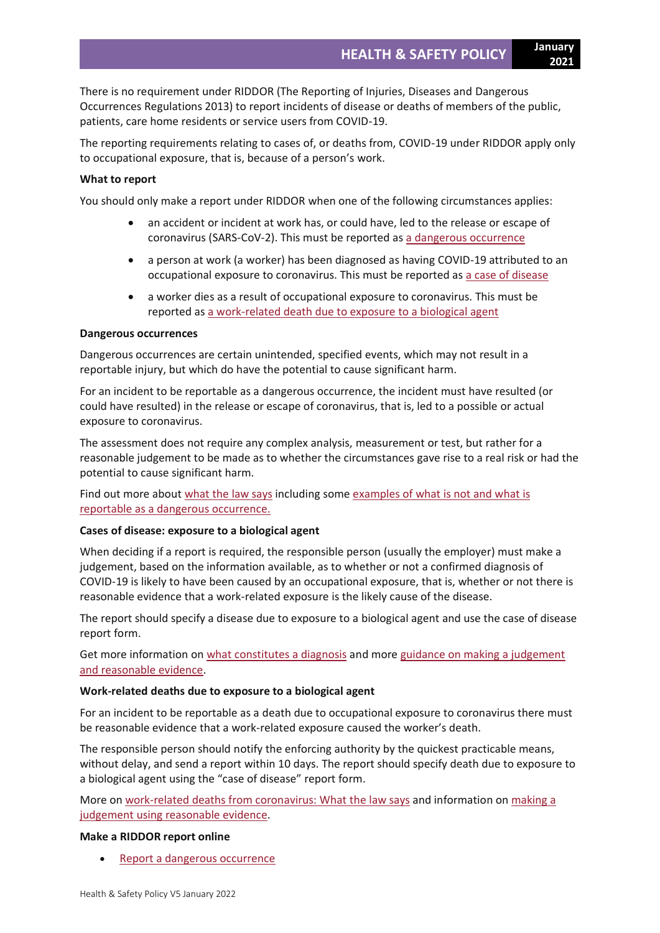**2021**

There is no requirement under RIDDOR (The Reporting of Injuries, Diseases and Dangerous Occurrences Regulations 2013) to report incidents of disease or deaths of members of the public, patients, care home residents or service users from COVID-19.

The reporting requirements relating to cases of, or deaths from, COVID-19 under RIDDOR apply only to occupational exposure, that is, because of a person's work.

#### **What to report**

You should only make a report under RIDDOR when one of the following circumstances applies:

- an accident or incident at work has, or could have, led to the release or escape of coronavirus (SARS-CoV-2). This must be reported as a dangerous [occurrence](https://www.hse.gov.uk/coronavirus/riddor/index.htm#dangerous)
- a person at work (a worker) has been diagnosed as having COVID-19 attributed to an occupational exposure to coronavirus. This must be reported as a case of [disease](https://www.hse.gov.uk/coronavirus/riddor/index.htm#disease)
- a worker dies as a result of occupational exposure to coronavirus. This must be reported as a [work-related](https://www.hse.gov.uk/coronavirus/riddor/index.htm#death) death due to exposure to a biological agent

#### **Dangerous occurrences**

Dangerous occurrences are certain unintended, specified events, which may not result in a reportable injury, but which do have the potential to cause significant harm.

For an incident to be reportable as a dangerous occurrence, the incident must have resulted (or could have resulted) in the release or escape of coronavirus, that is, led to a possible or actual exposure to coronavirus.

The assessment does not require any complex analysis, measurement or test, but rather for a reasonable judgement to be made as to whether the circumstances gave rise to a real risk or had the potential to cause significant harm.

Find out more about [what](https://www.hse.gov.uk/coronavirus/riddor/riddor-reporting-further-guidance.htm#dangerous-law) the law says including some [examples](https://www.hse.gov.uk/coronavirus/riddor/riddor-reporting-further-guidance.htm#dangerous-reportable) of what is not and what is reportable as a dangerous [occurrence.](https://www.hse.gov.uk/coronavirus/riddor/riddor-reporting-further-guidance.htm#dangerous-reportable)

#### **Cases of disease: exposure to a biological agent**

When deciding if a report is required, the responsible person (usually the employer) must make a judgement, based on the information available, as to whether or not a confirmed diagnosis of COVID-19 is likely to have been caused by an occupational exposure, that is, whether or not there is reasonable evidence that a work-related exposure is the likely cause of the disease.

The report should specify a disease due to exposure to a biological agent and use the case of disease report form.

Get more information on what [constitutes](https://www.hse.gov.uk/coronavirus/riddor/riddor-reporting-further-guidance.htm#disease-diagnosis) a diagnosis and more guidance on making a [judgement](https://www.hse.gov.uk/coronavirus/riddor/riddor-reporting-further-guidance.htm#disease-law) and [reasonable](https://www.hse.gov.uk/coronavirus/riddor/riddor-reporting-further-guidance.htm#disease-law) evidence.

#### **Work-related deaths due to exposure to a biological agent**

For an incident to be reportable as a death due to occupational exposure to coronavirus there must be reasonable evidence that a work-related exposure caused the worker's death.

The responsible person should notify the enforcing authority by the quickest practicable means, without delay, and send a report within 10 days. The report should specify death due to exposure to a biological agent using the "case of disease" report form.

More on [work-related](https://www.hse.gov.uk/coronavirus/riddor/riddor-reporting-further-guidance.htm#work-death) deaths from coronavirus: What the law says and information on [making](https://www.hse.gov.uk/coronavirus/riddor/riddor-reporting-further-guidance.htm#work-death-reasonable) a judgement using [reasonable](https://www.hse.gov.uk/coronavirus/riddor/riddor-reporting-further-guidance.htm#work-death-reasonable) evidence.

#### **Make a RIDDOR report online**

Report a dangerous [occurrence](https://notifications.hse.gov.uk/riddorforms/DangerousOccurrence)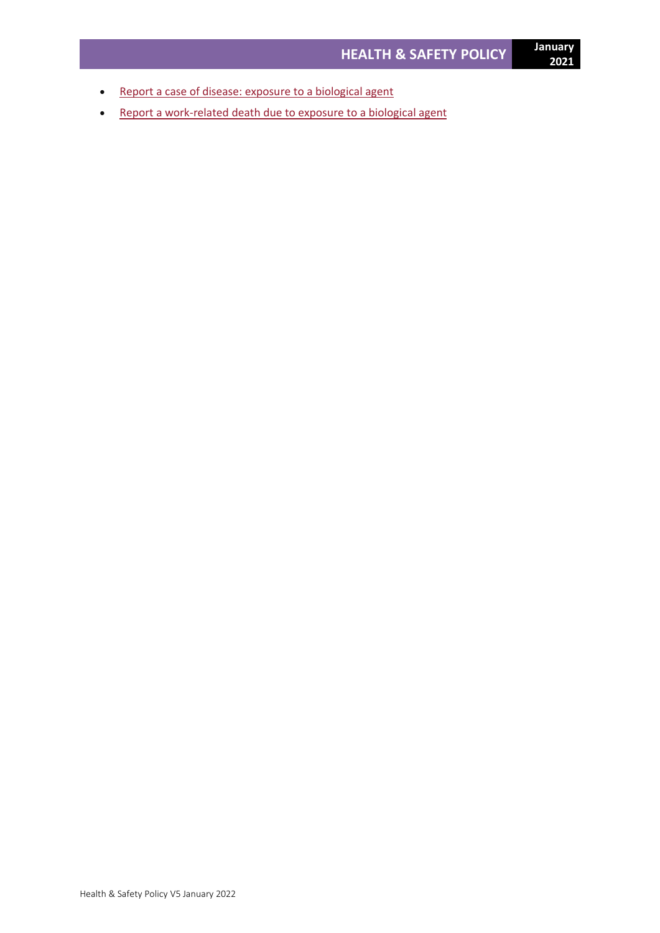- Report a case of disease: exposure to a [biological](https://notifications.hse.gov.uk/riddorforms/Disease) agent
- Report a [work-related](https://notifications.hse.gov.uk/riddorforms/Disease) death due to exposure to a biological agent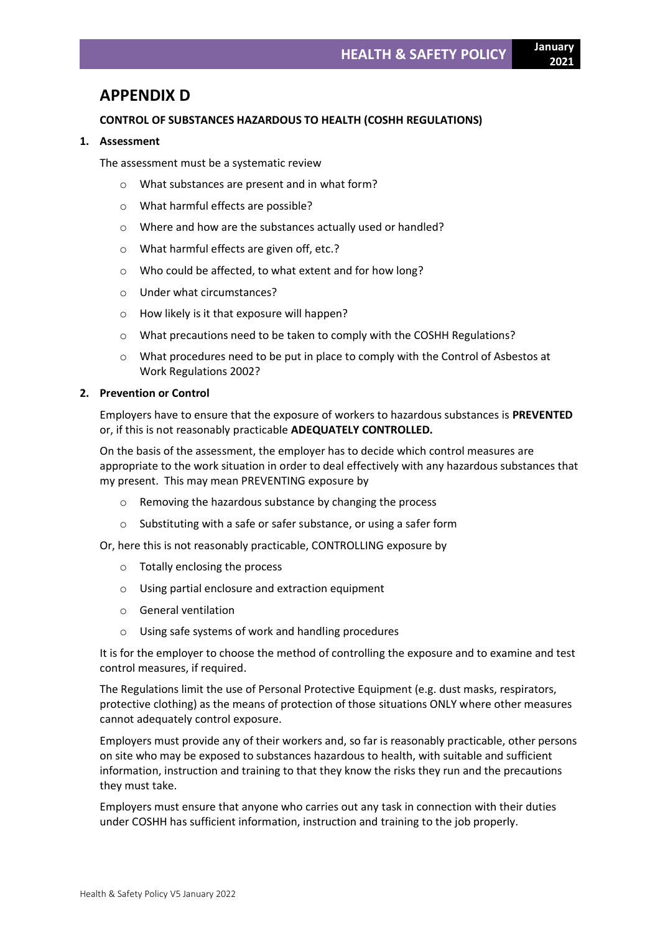**2021**

# **APPENDIX D**

# **CONTROL OF SUBSTANCES HAZARDOUS TO HEALTH (COSHH REGULATIONS)**

### **1. Assessment**

The assessment must be a systematic review

- o What substances are present and in what form?
- o What harmful effects are possible?
- o Where and how are the substances actually used or handled?
- o What harmful effects are given off, etc.?
- o Who could be affected, to what extent and for how long?
- o Under what circumstances?
- o How likely is it that exposure will happen?
- o What precautions need to be taken to comply with the COSHH Regulations?
- o What procedures need to be put in place to comply with the Control of Asbestos at Work Regulations 2002?

# **2. Prevention or Control**

Employers have to ensure that the exposure of workers to hazardous substances is **PREVENTED**  or, if this is not reasonably practicable **ADEQUATELY CONTROLLED.**

On the basis of the assessment, the employer has to decide which control measures are appropriate to the work situation in order to deal effectively with any hazardous substances that my present. This may mean PREVENTING exposure by

- o Removing the hazardous substance by changing the process
- o Substituting with a safe or safer substance, or using a safer form

Or, here this is not reasonably practicable, CONTROLLING exposure by

- o Totally enclosing the process
- o Using partial enclosure and extraction equipment
- o General ventilation
- o Using safe systems of work and handling procedures

It is for the employer to choose the method of controlling the exposure and to examine and test control measures, if required.

The Regulations limit the use of Personal Protective Equipment (e.g. dust masks, respirators, protective clothing) as the means of protection of those situations ONLY where other measures cannot adequately control exposure.

Employers must provide any of their workers and, so far is reasonably practicable, other persons on site who may be exposed to substances hazardous to health, with suitable and sufficient information, instruction and training to that they know the risks they run and the precautions they must take.

Employers must ensure that anyone who carries out any task in connection with their duties under COSHH has sufficient information, instruction and training to the job properly.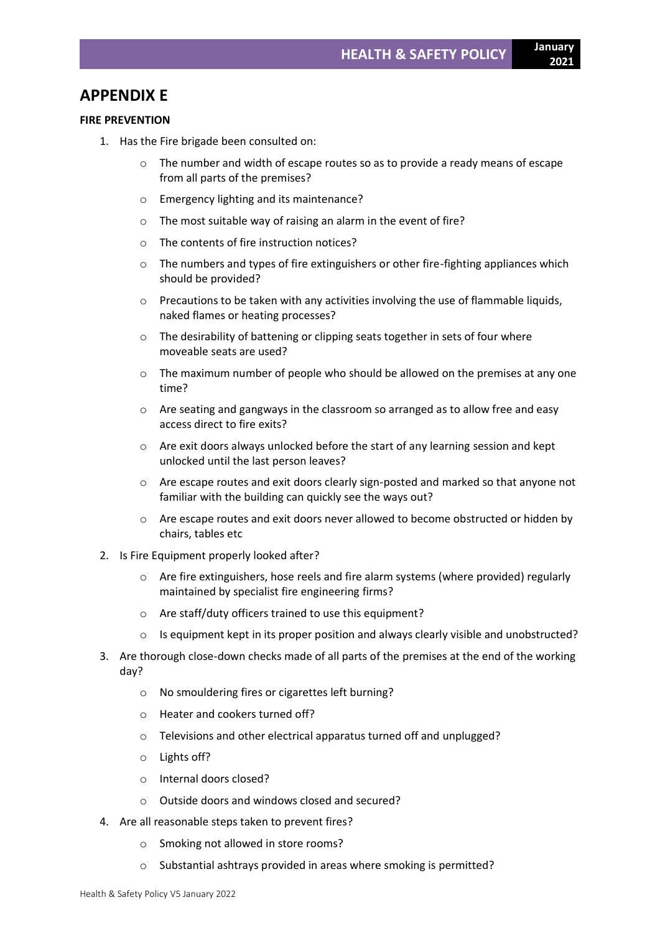# **APPENDIX E**

### **FIRE PREVENTION**

- 1. Has the Fire brigade been consulted on:
	- $\circ$  The number and width of escape routes so as to provide a ready means of escape from all parts of the premises?
	- o Emergency lighting and its maintenance?
	- o The most suitable way of raising an alarm in the event of fire?
	- o The contents of fire instruction notices?
	- o The numbers and types of fire extinguishers or other fire-fighting appliances which should be provided?
	- $\circ$  Precautions to be taken with any activities involving the use of flammable liquids, naked flames or heating processes?
	- o The desirability of battening or clipping seats together in sets of four where moveable seats are used?
	- $\circ$  The maximum number of people who should be allowed on the premises at any one time?
	- o Are seating and gangways in the classroom so arranged as to allow free and easy access direct to fire exits?
	- o Are exit doors always unlocked before the start of any learning session and kept unlocked until the last person leaves?
	- $\circ$  Are escape routes and exit doors clearly sign-posted and marked so that anyone not familiar with the building can quickly see the ways out?
	- $\circ$  Are escape routes and exit doors never allowed to become obstructed or hidden by chairs, tables etc
- 2. Is Fire Equipment properly looked after?
	- $\circ$  Are fire extinguishers, hose reels and fire alarm systems (where provided) regularly maintained by specialist fire engineering firms?
	- o Are staff/duty officers trained to use this equipment?
	- o Is equipment kept in its proper position and always clearly visible and unobstructed?
- 3. Are thorough close-down checks made of all parts of the premises at the end of the working day?
	- o No smouldering fires or cigarettes left burning?
	- o Heater and cookers turned off?
	- o Televisions and other electrical apparatus turned off and unplugged?
	- o Lights off?
	- o Internal doors closed?
	- o Outside doors and windows closed and secured?
- 4. Are all reasonable steps taken to prevent fires?
	- o Smoking not allowed in store rooms?
	- o Substantial ashtrays provided in areas where smoking is permitted?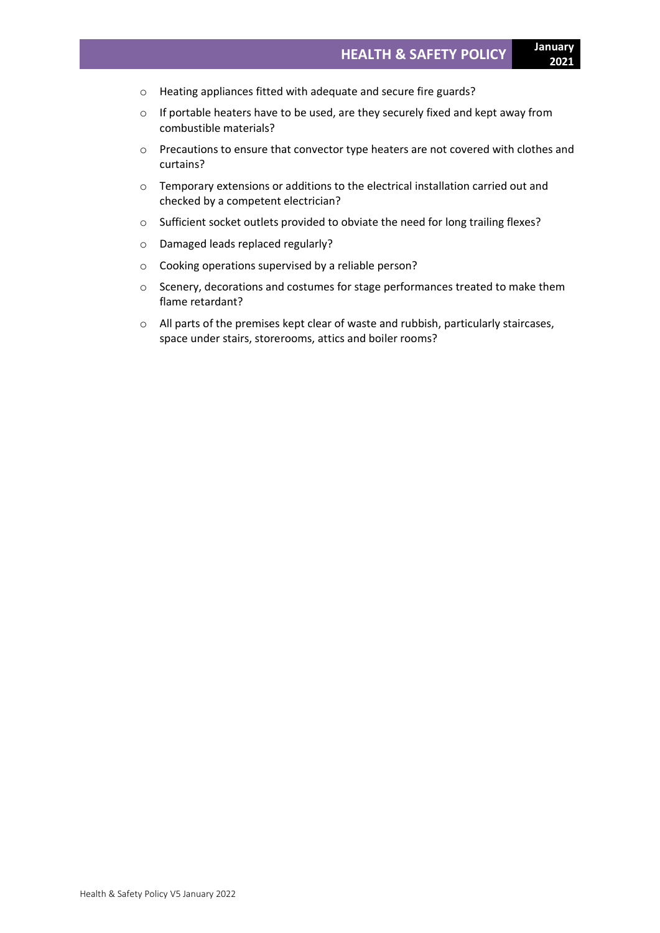- o Heating appliances fitted with adequate and secure fire guards?
- o If portable heaters have to be used, are they securely fixed and kept away from combustible materials?
- o Precautions to ensure that convector type heaters are not covered with clothes and curtains?
- o Temporary extensions or additions to the electrical installation carried out and checked by a competent electrician?
- o Sufficient socket outlets provided to obviate the need for long trailing flexes?
- o Damaged leads replaced regularly?
- o Cooking operations supervised by a reliable person?
- o Scenery, decorations and costumes for stage performances treated to make them flame retardant?
- $\circ$  All parts of the premises kept clear of waste and rubbish, particularly staircases, space under stairs, storerooms, attics and boiler rooms?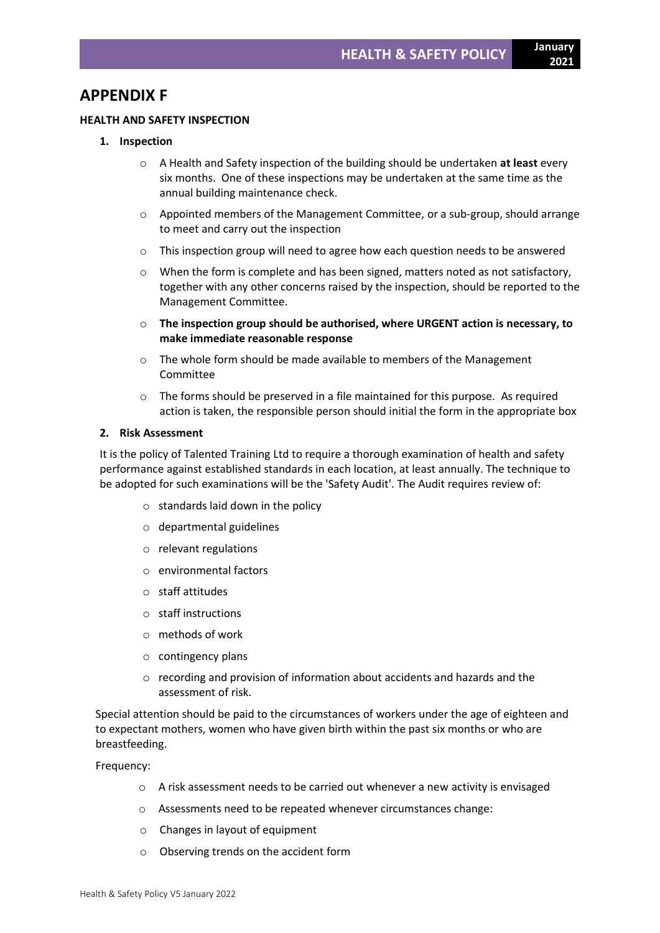# **APPENDIX F**

# **HEALTH AND SAFETY INSPECTION**

### **1. Inspection**

- o A Health and Safety inspection of the building should be undertaken **at least** every six months. One of these inspections may be undertaken at the same time as the annual building maintenance check.
- $\circ$  Appointed members of the Management Committee, or a sub-group, should arrange to meet and carry out the inspection
- o This inspection group will need to agree how each question needs to be answered
- o When the form is complete and has been signed, matters noted as not satisfactory, together with any other concerns raised by the inspection, should be reported to the Management Committee.
- o **The inspection group should be authorised, where URGENT action is necessary, to make immediate reasonable response**
- $\circ$  The whole form should be made available to members of the Management Committee
- $\circ$  The forms should be preserved in a file maintained for this purpose. As required action is taken, the responsible person should initial the form in the appropriate box

### **2. Risk Assessment**

It is the policy of Talented Training Ltd to require a thorough examination of health and safety performance against established standards in each location, at least annually. The technique to be adopted for such examinations will be the 'Safety Audit'. The Audit requires review of:

- $\circ$  standards laid down in the policy
- o departmental guidelines
- o relevant regulations
- o environmental factors
- o staff attitudes
- o staff instructions
- o methods of work
- o contingency plans
- $\circ$  recording and provision of information about accidents and hazards and the assessment of risk.

Special attention should be paid to the circumstances of workers under the age of eighteen and to expectant mothers, women who have given birth within the past six months or who are breastfeeding.

Frequency:

- $\circ$  A risk assessment needs to be carried out whenever a new activity is envisaged
- o Assessments need to be repeated whenever circumstances change:
- o Changes in layout of equipment
- o Observing trends on the accident form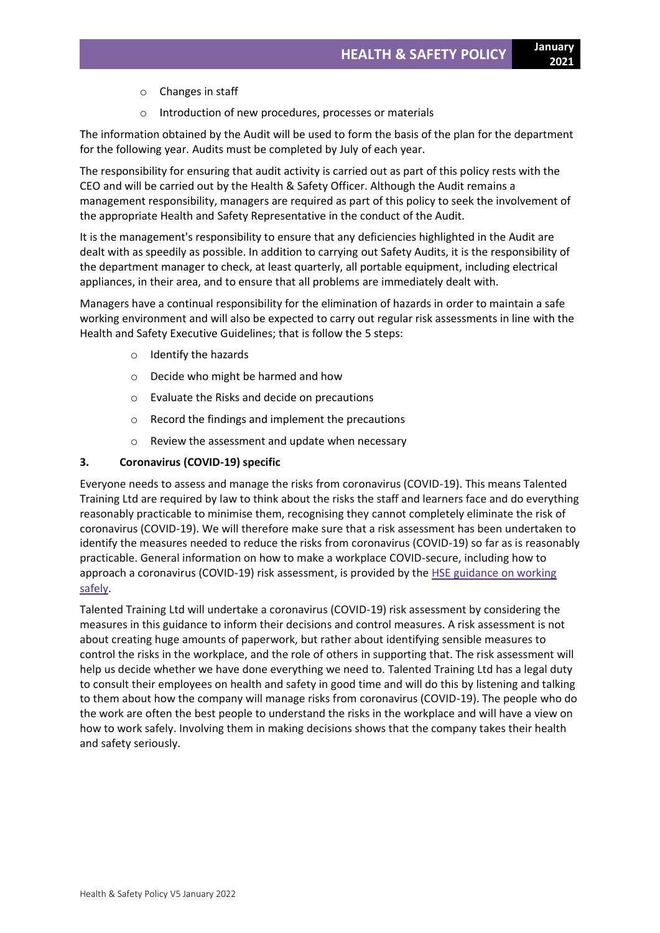- o Changes in staff
- o Introduction of new procedures, processes or materials

The information obtained by the Audit will be used to form the basis of the plan for the department for the following year. Audits must be completed by July of each year.

The responsibility for ensuring that audit activity is carried out as part of this policy rests with the CEO and will be carried out by the Health & Safety Officer. Although the Audit remains a management responsibility, managers are required as part of this policy to seek the involvement of the appropriate Health and Safety Representative in the conduct of the Audit.

It is the management's responsibility to ensure that any deficiencies highlighted in the Audit are dealt with as speedily as possible. In addition to carrying out Safety Audits, it is the responsibility of the department manager to check, at least quarterly, all portable equipment, including electrical appliances, in their area, and to ensure that all problems are immediately dealt with.

Managers have a continual responsibility for the elimination of hazards in order to maintain a safe working environment and will also be expected to carry out regular risk assessments in line with the Health and Safety Executive Guidelines; that is follow the 5 steps:

- o Identify the hazards
- o Decide who might be harmed and how
- o Evaluate the Risks and decide on precautions
- o Record the findings and implement the precautions
- o Review the assessment and update when necessary

# **3. Coronavirus (COVID-19) specific**

Everyone needs to assess and manage the risks from coronavirus (COVID-19). This means Talented Training Ltd are required by law to think about the risks the staff and learners face and do everything reasonably practicable to minimise them, recognising they cannot completely eliminate the risk of coronavirus (COVID-19). We will therefore make sure that a risk assessment has been undertaken to identify the measures needed to reduce the risks from coronavirus (COVID-19) so far as is reasonably practicable. General information on how to make a workplace COVID-secure, including how to approach a coronavirus (COVID-19) risk assessment, is provided by the **HSE [guidance](https://www.hse.gov.uk/coronavirus/working-safely/index.htm) on working** [safely.](https://www.hse.gov.uk/coronavirus/working-safely/index.htm)

Talented Training Ltd will undertake a coronavirus (COVID-19) risk assessment by considering the measures in this guidance to inform their decisions and control measures. A risk assessment is not about creating huge amounts of paperwork, but rather about identifying sensible measures to control the risks in the workplace, and the role of others in supporting that. The risk assessment will help us decide whether we have done everything we need to. Talented Training Ltd has a legal duty to consult their employees on health and safety in good time and will do this by listening and talking to them about how the company will manage risks from coronavirus (COVID-19). The people who do the work are often the best people to understand the risks in the workplace and will have a view on how to work safely. Involving them in making decisions shows that the company takes their health and safety seriously.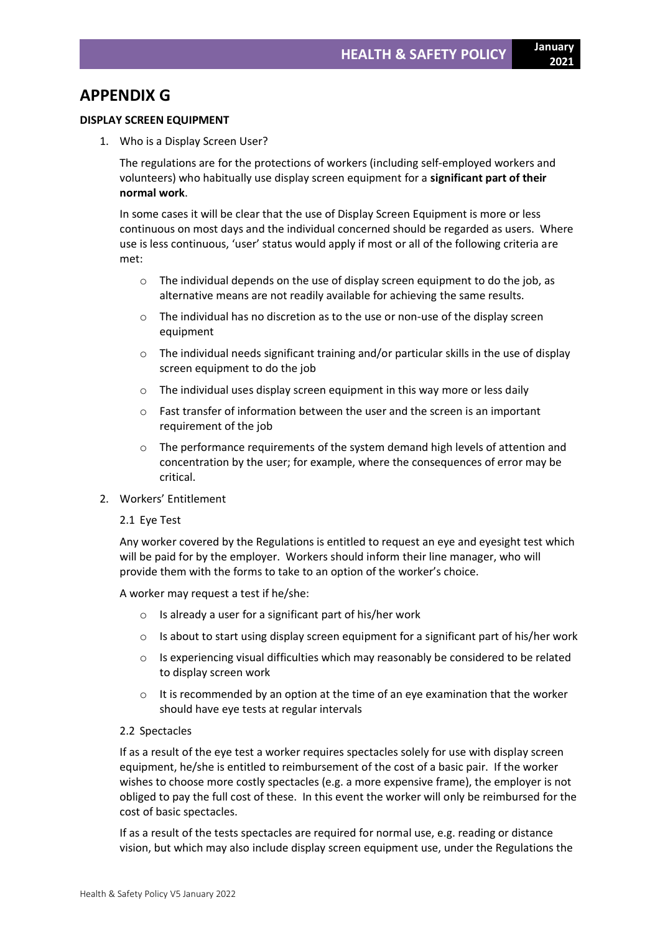**2021**

#### **DISPLAY SCREEN EQUIPMENT**

1. Who is a Display Screen User?

The regulations are for the protections of workers (including self-employed workers and volunteers) who habitually use display screen equipment for a **significant part of their normal work**.

In some cases it will be clear that the use of Display Screen Equipment is more or less continuous on most days and the individual concerned should be regarded as users. Where use is less continuous, 'user' status would apply if most or all of the following criteria are met:

- o The individual depends on the use of display screen equipment to do the job, as alternative means are not readily available for achieving the same results.
- o The individual has no discretion as to the use or non-use of the display screen equipment
- $\circ$  The individual needs significant training and/or particular skills in the use of display screen equipment to do the job
- $\circ$  The individual uses display screen equipment in this way more or less daily
- o Fast transfer of information between the user and the screen is an important requirement of the job
- $\circ$  The performance requirements of the system demand high levels of attention and concentration by the user; for example, where the consequences of error may be critical.
- 2. Workers' Entitlement

#### 2.1 Eye Test

Any worker covered by the Regulations is entitled to request an eye and eyesight test which will be paid for by the employer. Workers should inform their line manager, who will provide them with the forms to take to an option of the worker's choice.

A worker may request a test if he/she:

- $\circ$  Is already a user for a significant part of his/her work
- $\circ$  Is about to start using display screen equipment for a significant part of his/her work
- $\circ$  Is experiencing visual difficulties which may reasonably be considered to be related to display screen work
- $\circ$  It is recommended by an option at the time of an eye examination that the worker should have eye tests at regular intervals

# 2.2 Spectacles

If as a result of the eye test a worker requires spectacles solely for use with display screen equipment, he/she is entitled to reimbursement of the cost of a basic pair. If the worker wishes to choose more costly spectacles (e.g. a more expensive frame), the employer is not obliged to pay the full cost of these. In this event the worker will only be reimbursed for the cost of basic spectacles.

If as a result of the tests spectacles are required for normal use, e.g. reading or distance vision, but which may also include display screen equipment use, under the Regulations the